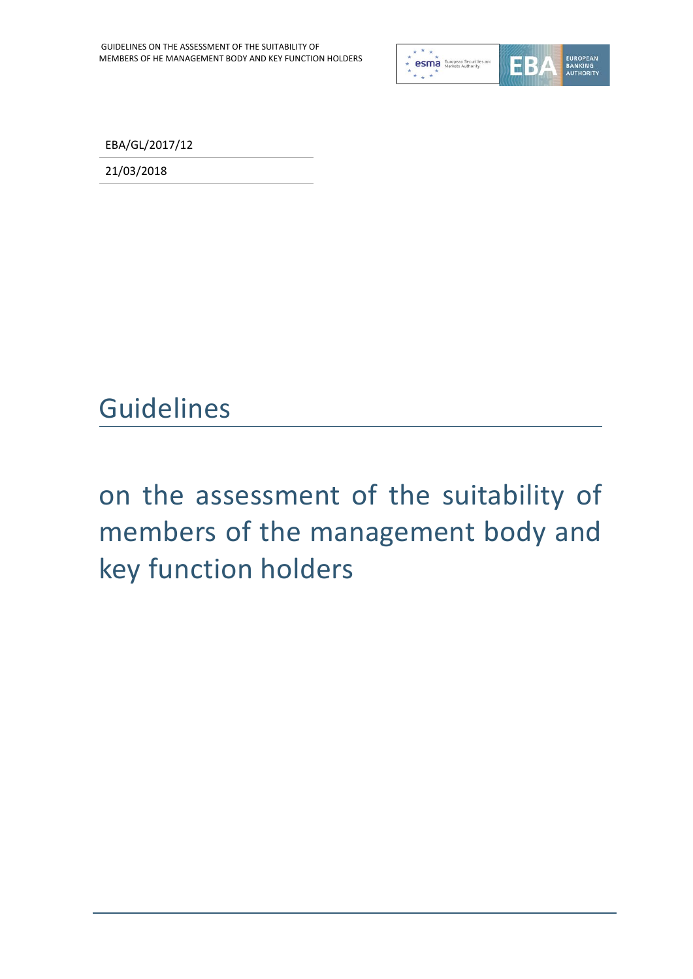

EBA/GL/2017/12

21/03/2018

# Guidelines

# on the assessment of the suitability of members of the management body and key function holders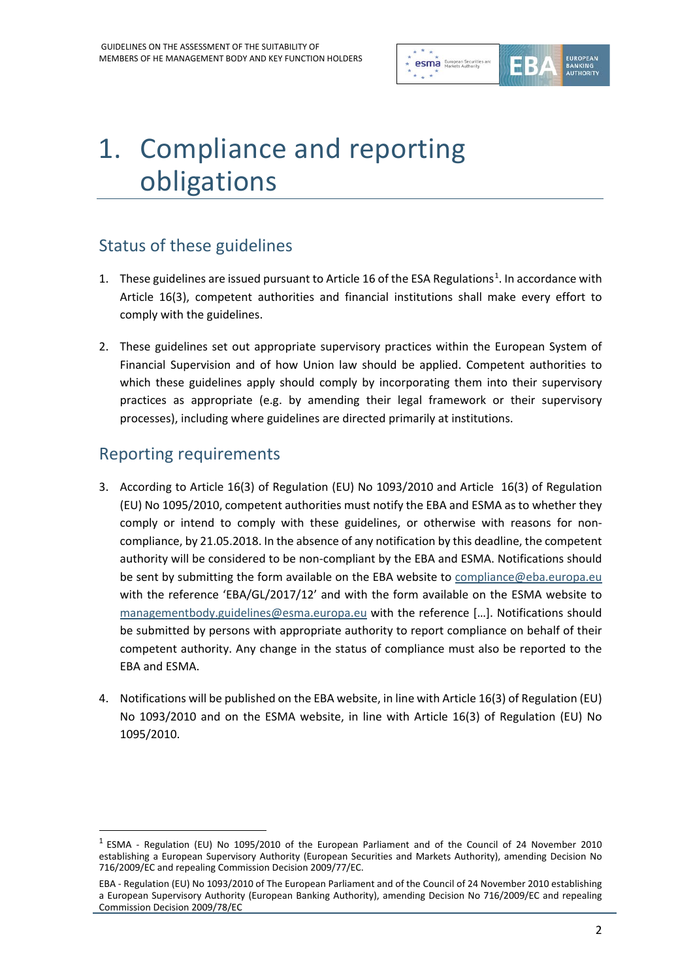

# 1. Compliance and reporting obligations

## Status of these guidelines

- [1](#page-1-0). These guidelines are issued pursuant to Article 16 of the ESA Regulations<sup>1</sup>. In accordance with Article 16(3), competent authorities and financial institutions shall make every effort to comply with the guidelines.
- 2. These guidelines set out appropriate supervisory practices within the European System of Financial Supervision and of how Union law should be applied. Competent authorities to which these guidelines apply should comply by incorporating them into their supervisory practices as appropriate (e.g. by amending their legal framework or their supervisory processes), including where guidelines are directed primarily at institutions.

#### Reporting requirements

- 3. According to Article 16(3) of Regulation (EU) No 1093/2010 and Article 16(3) of Regulation (EU) No 1095/2010, competent authorities must notify the EBA and ESMA as to whether they comply or intend to comply with these guidelines, or otherwise with reasons for noncompliance, by 21.05.2018. In the absence of any notification by this deadline, the competent authority will be considered to be non-compliant by the EBA and ESMA. Notifications should be sent by submitting the form available on the EBA website to [compliance@eba.europa.eu](mailto:compliance@eba.europa.eu) with the reference 'EBA/GL/2017/12' and with the form available on the ESMA website to [managementbody.guidelines@esma.europa.eu](mailto:managementbody.guidelines@esma.europa.eu) with the reference […]. Notifications should be submitted by persons with appropriate authority to report compliance on behalf of their competent authority. Any change in the status of compliance must also be reported to the EBA and ESMA.
- 4. Notifications will be published on the EBA website, in line with Article 16(3) of Regulation (EU) No 1093/2010 and on the ESMA website, in line with Article 16(3) of Regulation (EU) No 1095/2010.

<span id="page-1-0"></span><sup>1</sup> ESMA - Regulation (EU) No 1095/2010 of the European Parliament and of the Council of 24 November 2010 establishing a European Supervisory Authority (European Securities and Markets Authority), amending Decision No 716/2009/EC and repealing Commission Decision 2009/77/EC.

EBA - Regulation (EU) No 1093/2010 of The European Parliament and of the Council of 24 November 2010 establishing a European Supervisory Authority (European Banking Authority), amending Decision No 716/2009/EC and repealing Commission Decision 2009/78/EC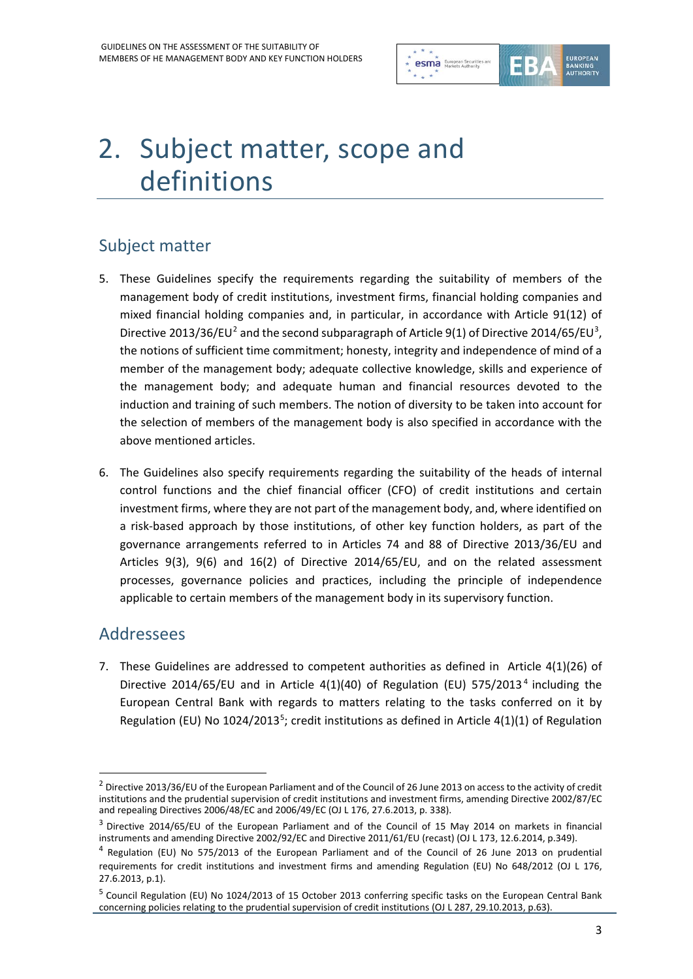

# 2. Subject matter, scope and definitions

## Subject matter

- 5. These Guidelines specify the requirements regarding the suitability of members of the management body of credit institutions, investment firms, financial holding companies and mixed financial holding companies and, in particular, in accordance with Article 91(12) of Directive [2](#page-2-0)01[3](#page-2-1)/36/EU<sup>2</sup> and the second subparagraph of Article 9(1) of Directive 2014/65/EU<sup>3</sup>, the notions of sufficient time commitment; honesty, integrity and independence of mind of a member of the management body; adequate collective knowledge, skills and experience of the management body; and adequate human and financial resources devoted to the induction and training of such members. The notion of diversity to be taken into account for the selection of members of the management body is also specified in accordance with the above mentioned articles.
- 6. The Guidelines also specify requirements regarding the suitability of the heads of internal control functions and the chief financial officer (CFO) of credit institutions and certain investment firms, where they are not part of the management body, and, where identified on a risk-based approach by those institutions, of other key function holders, as part of the governance arrangements referred to in Articles 74 and 88 of Directive 2013/36/EU and Articles 9(3), 9(6) and 16(2) of Directive 2014/65/EU, and on the related assessment processes, governance policies and practices, including the principle of independence applicable to certain members of the management body in its supervisory function.

#### Addressees

 $\overline{a}$ 

7. These Guidelines are addressed to competent authorities as defined in Article 4(1)(26) of Directive 201[4](#page-2-2)/65/EU and in Article 4(1)(40) of Regulation (EU) 575/2013<sup>4</sup> including the European Central Bank with regards to matters relating to the tasks conferred on it by Regulation (EU) No 1024/2013<sup>[5](#page-2-3)</sup>; credit institutions as defined in Article 4(1)(1) of Regulation

<span id="page-2-0"></span><sup>&</sup>lt;sup>2</sup> Directive 2013/36/EU of the European Parliament and of the Council of 26 June 2013 on access to the activity of credit institutions and the prudential supervision of credit institutions and investment firms, amending Directive 2002/87/EC and repealing Directives 2006/48/EC and 2006/49/EC (OJ L 176, 27.6.2013, p. 338).

<span id="page-2-1"></span><sup>3</sup> Directive 2014/65/EU of the European Parliament and of the Council of 15 May 2014 on markets in financial instruments and amending Directive 2002/92/EC and Directive 2011/61/EU (recast) (OJ L 173, 12.6.2014, p.349).

<span id="page-2-2"></span><sup>4</sup> Regulation (EU) No 575/2013 of the European Parliament and of the Council of 26 June 2013 on prudential requirements for credit institutions and investment firms and amending Regulation (EU) No 648/2012 (OJ L 176, 27.6.2013, p.1).

<span id="page-2-3"></span><sup>&</sup>lt;sup>5</sup> Council Regulation (EU) No 1024/2013 of 15 October 2013 conferring specific tasks on the European Central Bank concerning policies relating to the prudential supervision of credit institutions (OJ L 287, 29.10.2013, p.63).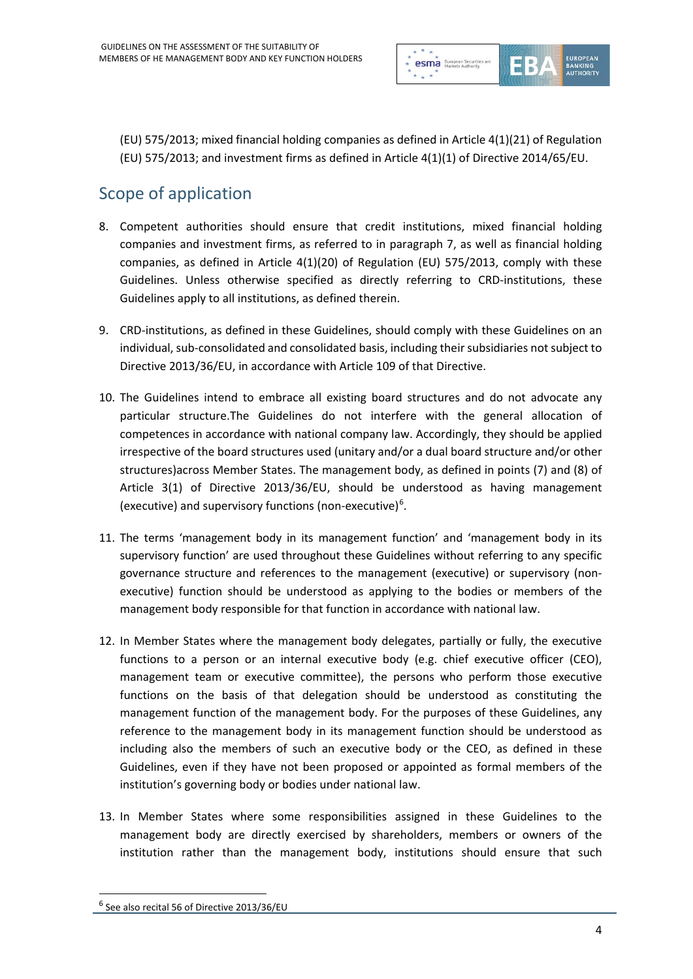

(EU) 575/2013; mixed financial holding companies as defined in Article 4(1)(21) of Regulation (EU) 575/2013; and investment firms as defined in Article 4(1)(1) of Directive 2014/65/EU.

# Scope of application

- 8. Competent authorities should ensure that credit institutions, mixed financial holding companies and investment firms, as referred to in paragraph 7, as well as financial holding companies, as defined in Article 4(1)(20) of Regulation (EU) 575/2013, comply with these Guidelines. Unless otherwise specified as directly referring to CRD-institutions, these Guidelines apply to all institutions, as defined therein.
- 9. CRD-institutions, as defined in these Guidelines, should comply with these Guidelines on an individual, sub-consolidated and consolidated basis, including their subsidiaries not subject to Directive 2013/36/EU, in accordance with Article 109 of that Directive.
- 10. The Guidelines intend to embrace all existing board structures and do not advocate any particular structure.The Guidelines do not interfere with the general allocation of competences in accordance with national company law. Accordingly, they should be applied irrespective of the board structures used (unitary and/or a dual board structure and/or other structures)across Member States. The management body, as defined in points (7) and (8) of Article 3(1) of Directive 2013/36/EU, should be understood as having management (executive) and supervisory functions (non-executive)<sup>[6](#page-3-0)</sup>.
- 11. The terms 'management body in its management function' and 'management body in its supervisory function' are used throughout these Guidelines without referring to any specific governance structure and references to the management (executive) or supervisory (nonexecutive) function should be understood as applying to the bodies or members of the management body responsible for that function in accordance with national law.
- 12. In Member States where the management body delegates, partially or fully, the executive functions to a person or an internal executive body (e.g. chief executive officer (CEO), management team or executive committee), the persons who perform those executive functions on the basis of that delegation should be understood as constituting the management function of the management body. For the purposes of these Guidelines, any reference to the management body in its management function should be understood as including also the members of such an executive body or the CEO, as defined in these Guidelines, even if they have not been proposed or appointed as formal members of the institution's governing body or bodies under national law.
- 13. In Member States where some responsibilities assigned in these Guidelines to the management body are directly exercised by shareholders, members or owners of the institution rather than the management body, institutions should ensure that such

<span id="page-3-0"></span><sup>6</sup> See also recital 56 of Directive 2013/36/EU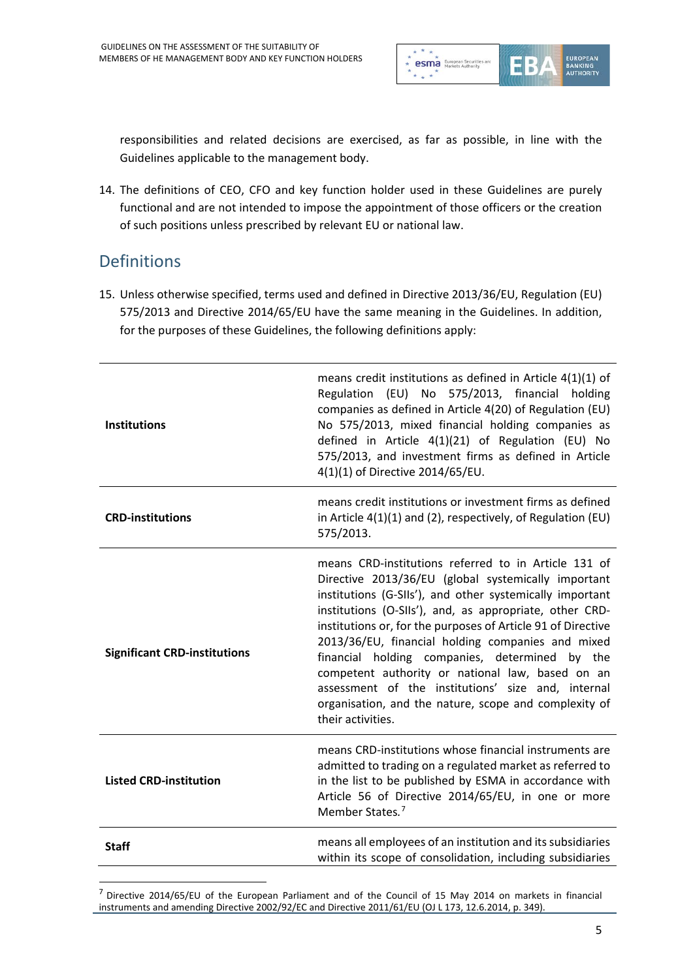

responsibilities and related decisions are exercised, as far as possible, in line with the Guidelines applicable to the management body.

14. The definitions of CEO, CFO and key function holder used in these Guidelines are purely functional and are not intended to impose the appointment of those officers or the creation of such positions unless prescribed by relevant EU or national law.

#### Definitions

15. Unless otherwise specified, terms used and defined in Directive 2013/36/EU, Regulation (EU) 575/2013 and Directive 2014/65/EU have the same meaning in the Guidelines. In addition, for the purposes of these Guidelines, the following definitions apply:

| <b>Institutions</b>                 | means credit institutions as defined in Article $4(1)(1)$ of<br>Regulation (EU) No 575/2013, financial holding<br>companies as defined in Article 4(20) of Regulation (EU)<br>No 575/2013, mixed financial holding companies as<br>defined in Article 4(1)(21) of Regulation (EU) No<br>575/2013, and investment firms as defined in Article<br>4(1)(1) of Directive 2014/65/EU.                                                                                                                                                                                                                  |
|-------------------------------------|---------------------------------------------------------------------------------------------------------------------------------------------------------------------------------------------------------------------------------------------------------------------------------------------------------------------------------------------------------------------------------------------------------------------------------------------------------------------------------------------------------------------------------------------------------------------------------------------------|
| <b>CRD-institutions</b>             | means credit institutions or investment firms as defined<br>in Article 4(1)(1) and (2), respectively, of Regulation (EU)<br>575/2013.                                                                                                                                                                                                                                                                                                                                                                                                                                                             |
| <b>Significant CRD-institutions</b> | means CRD-institutions referred to in Article 131 of<br>Directive 2013/36/EU (global systemically important<br>institutions (G-SIIs'), and other systemically important<br>institutions (O-SIIs'), and, as appropriate, other CRD-<br>institutions or, for the purposes of Article 91 of Directive<br>2013/36/EU, financial holding companies and mixed<br>financial holding companies, determined by the<br>competent authority or national law, based on an<br>assessment of the institutions' size and, internal<br>organisation, and the nature, scope and complexity of<br>their activities. |
| <b>Listed CRD-institution</b>       | means CRD-institutions whose financial instruments are<br>admitted to trading on a regulated market as referred to<br>in the list to be published by ESMA in accordance with<br>Article 56 of Directive 2014/65/EU, in one or more<br>Member States. <sup>7</sup>                                                                                                                                                                                                                                                                                                                                 |
| <b>Staff</b>                        | means all employees of an institution and its subsidiaries<br>within its scope of consolidation, including subsidiaries                                                                                                                                                                                                                                                                                                                                                                                                                                                                           |

<span id="page-4-0"></span><sup>7</sup> Directive 2014/65/EU of the European Parliament and of the Council of 15 May 2014 on markets in financial instruments and amending Directive 2002/92/EC and Directive 2011/61/EU (OJ L 173, 12.6.2014, p. 349).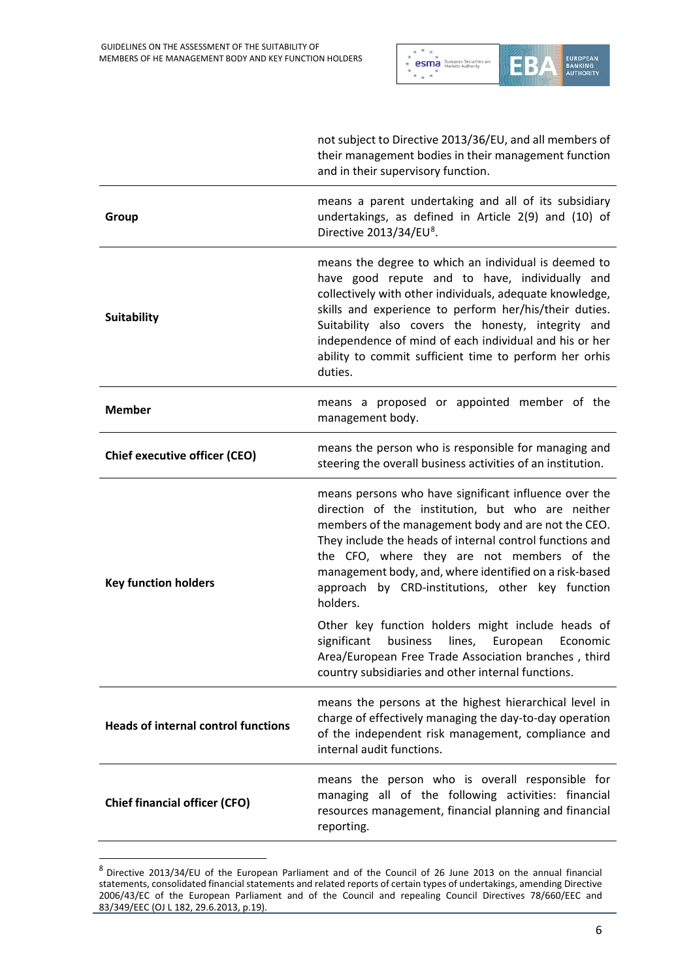

|                                            | not subject to Directive 2013/36/EU, and all members of<br>their management bodies in their management function<br>and in their supervisory function.                                                                                                                                                                                                                                                             |
|--------------------------------------------|-------------------------------------------------------------------------------------------------------------------------------------------------------------------------------------------------------------------------------------------------------------------------------------------------------------------------------------------------------------------------------------------------------------------|
| Group                                      | means a parent undertaking and all of its subsidiary<br>undertakings, as defined in Article 2(9) and (10) of<br>Directive 2013/34/EU <sup>8</sup> .                                                                                                                                                                                                                                                               |
| <b>Suitability</b>                         | means the degree to which an individual is deemed to<br>have good repute and to have, individually and<br>collectively with other individuals, adequate knowledge,<br>skills and experience to perform her/his/their duties.<br>Suitability also covers the honesty, integrity and<br>independence of mind of each individual and his or her<br>ability to commit sufficient time to perform her orhis<br>duties. |
| <b>Member</b>                              | means a proposed or appointed member of the<br>management body.                                                                                                                                                                                                                                                                                                                                                   |
| <b>Chief executive officer (CEO)</b>       | means the person who is responsible for managing and<br>steering the overall business activities of an institution.                                                                                                                                                                                                                                                                                               |
| <b>Key function holders</b>                | means persons who have significant influence over the<br>direction of the institution, but who are neither<br>members of the management body and are not the CEO.<br>They include the heads of internal control functions and<br>the CFO, where they are not members of the<br>management body, and, where identified on a risk-based<br>approach by CRD-institutions, other key function<br>holders.             |
|                                            | Other key function holders might include heads of<br>significant<br>business<br>lines,<br>European<br>Economic<br>Area/European Free Trade Association branches, third<br>country subsidiaries and other internal functions.                                                                                                                                                                                      |
| <b>Heads of internal control functions</b> | means the persons at the highest hierarchical level in<br>charge of effectively managing the day-to-day operation<br>of the independent risk management, compliance and<br>internal audit functions.                                                                                                                                                                                                              |
| <b>Chief financial officer (CFO)</b>       | means the person who is overall responsible for<br>managing all of the following activities: financial<br>resources management, financial planning and financial<br>reporting.                                                                                                                                                                                                                                    |

<span id="page-5-0"></span><sup>8</sup> Directive 2013/34/EU of the European Parliament and of the Council of 26 June 2013 on the annual financial statements, consolidated financial statements and related reports of certain types of undertakings, amending Directive 2006/43/EC of the European Parliament and of the Council and repealing Council Directives 78/660/EEC and 83/349/EEC (OJ L 182, 29.6.2013, p.19).

j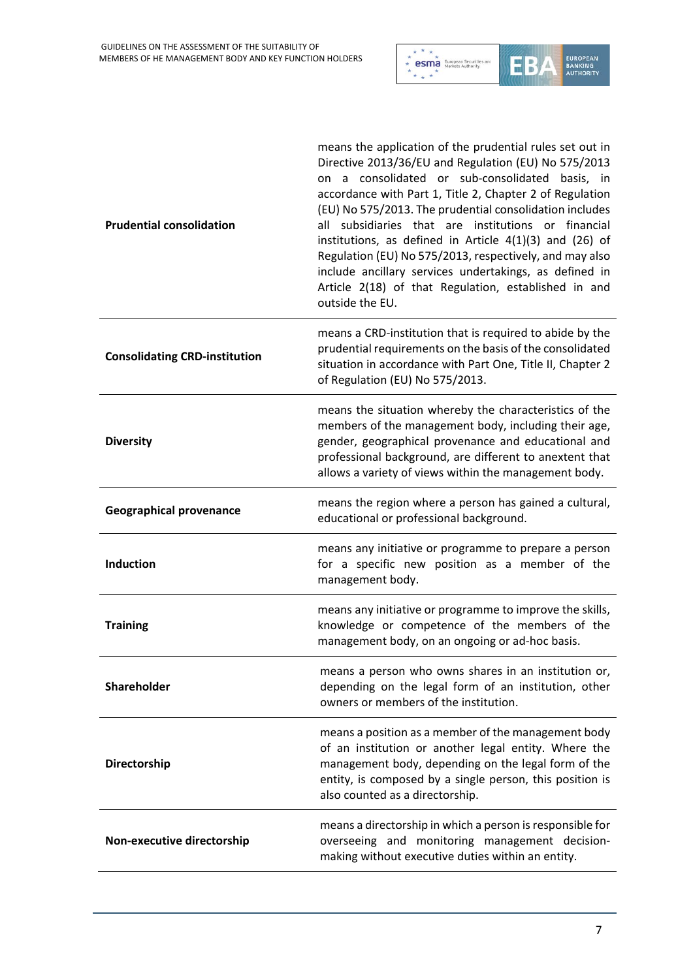

| <b>Prudential consolidation</b>      | means the application of the prudential rules set out in<br>Directive 2013/36/EU and Regulation (EU) No 575/2013<br>on a consolidated or sub-consolidated basis, in<br>accordance with Part 1, Title 2, Chapter 2 of Regulation<br>(EU) No 575/2013. The prudential consolidation includes<br>all subsidiaries that are institutions or financial<br>institutions, as defined in Article $4(1)(3)$ and (26) of<br>Regulation (EU) No 575/2013, respectively, and may also<br>include ancillary services undertakings, as defined in<br>Article 2(18) of that Regulation, established in and<br>outside the EU. |
|--------------------------------------|----------------------------------------------------------------------------------------------------------------------------------------------------------------------------------------------------------------------------------------------------------------------------------------------------------------------------------------------------------------------------------------------------------------------------------------------------------------------------------------------------------------------------------------------------------------------------------------------------------------|
| <b>Consolidating CRD-institution</b> | means a CRD-institution that is required to abide by the<br>prudential requirements on the basis of the consolidated<br>situation in accordance with Part One, Title II, Chapter 2<br>of Regulation (EU) No 575/2013.                                                                                                                                                                                                                                                                                                                                                                                          |
| <b>Diversity</b>                     | means the situation whereby the characteristics of the<br>members of the management body, including their age,<br>gender, geographical provenance and educational and<br>professional background, are different to anextent that<br>allows a variety of views within the management body.                                                                                                                                                                                                                                                                                                                      |
| <b>Geographical provenance</b>       | means the region where a person has gained a cultural,<br>educational or professional background.                                                                                                                                                                                                                                                                                                                                                                                                                                                                                                              |
| <b>Induction</b>                     | means any initiative or programme to prepare a person<br>for a specific new position as a member of the<br>management body.                                                                                                                                                                                                                                                                                                                                                                                                                                                                                    |
| <b>Training</b>                      | means any initiative or programme to improve the skills,<br>knowledge or competence of the members of the<br>management body, on an ongoing or ad-hoc basis.                                                                                                                                                                                                                                                                                                                                                                                                                                                   |
| Shareholder                          | means a person who owns shares in an institution or,<br>depending on the legal form of an institution, other<br>owners or members of the institution.                                                                                                                                                                                                                                                                                                                                                                                                                                                          |
| Directorship                         | means a position as a member of the management body<br>of an institution or another legal entity. Where the<br>management body, depending on the legal form of the<br>entity, is composed by a single person, this position is<br>also counted as a directorship.                                                                                                                                                                                                                                                                                                                                              |
| Non-executive directorship           | means a directorship in which a person is responsible for<br>overseeing and monitoring management decision-<br>making without executive duties within an entity.                                                                                                                                                                                                                                                                                                                                                                                                                                               |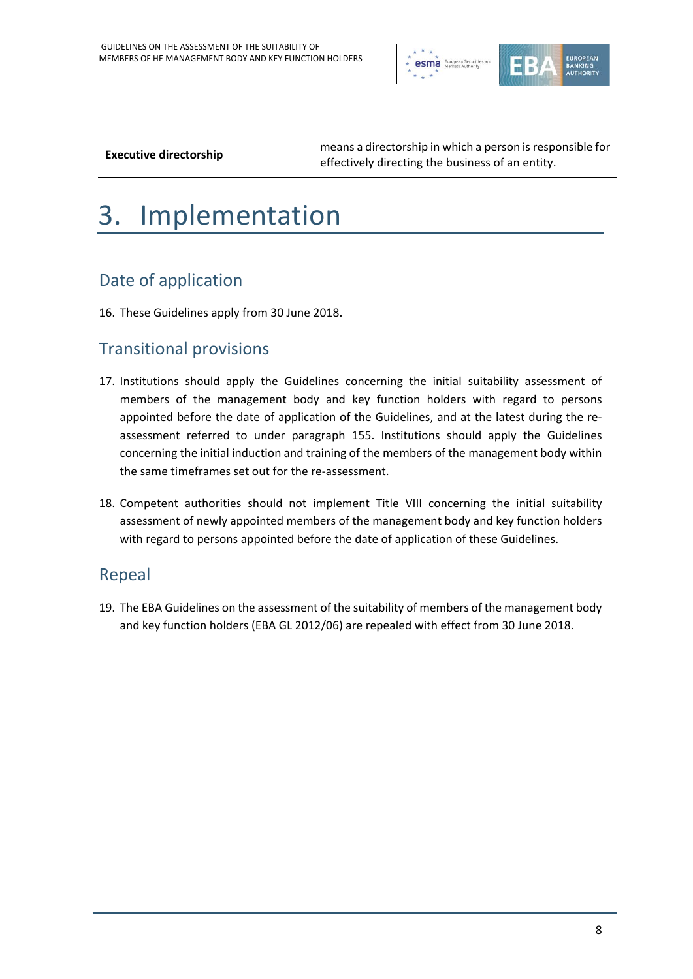

**Executive directorship** means a directorship in which a person is responsible for effectively directing the business of an entity.

# 3. Implementation

# Date of application

16. These Guidelines apply from 30 June 2018.

#### Transitional provisions

- 17. Institutions should apply the Guidelines concerning the initial suitability assessment of members of the management body and key function holders with regard to persons appointed before the date of application of the Guidelines, and at the latest during the reassessment referred to under paragraph 155. Institutions should apply the Guidelines concerning the initial induction and training of the members of the management body within the same timeframes set out for the re-assessment.
- 18. Competent authorities should not implement Title VIII concerning the initial suitability assessment of newly appointed members of the management body and key function holders with regard to persons appointed before the date of application of these Guidelines.

#### Repeal

19. The EBA Guidelines on the assessment of the suitability of members of the management body and key function holders (EBA GL 2012/06) are repealed with effect from 30 June 2018.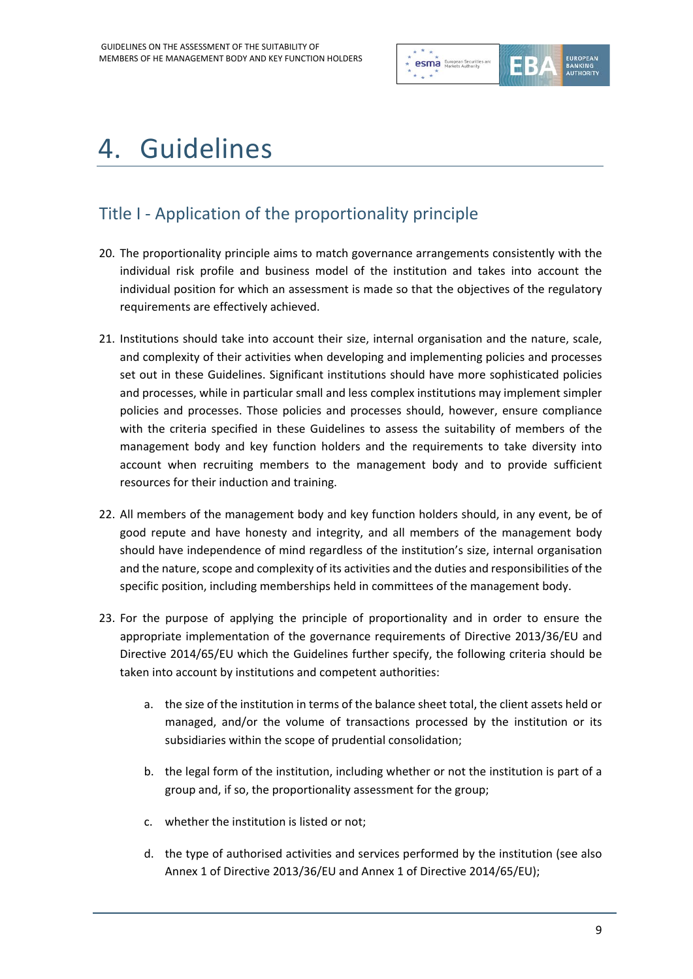

# 4. Guidelines

# Title I - Application of the proportionality principle

- 20. The proportionality principle aims to match governance arrangements consistently with the individual risk profile and business model of the institution and takes into account the individual position for which an assessment is made so that the objectives of the regulatory requirements are effectively achieved.
- 21. Institutions should take into account their size, internal organisation and the nature, scale, and complexity of their activities when developing and implementing policies and processes set out in these Guidelines. Significant institutions should have more sophisticated policies and processes, while in particular small and less complex institutions may implement simpler policies and processes. Those policies and processes should, however, ensure compliance with the criteria specified in these Guidelines to assess the suitability of members of the management body and key function holders and the requirements to take diversity into account when recruiting members to the management body and to provide sufficient resources for their induction and training.
- 22. All members of the management body and key function holders should, in any event, be of good repute and have honesty and integrity, and all members of the management body should have independence of mind regardless of the institution's size, internal organisation and the nature, scope and complexity of its activities and the duties and responsibilities of the specific position, including memberships held in committees of the management body.
- 23. For the purpose of applying the principle of proportionality and in order to ensure the appropriate implementation of the governance requirements of Directive 2013/36/EU and Directive 2014/65/EU which the Guidelines further specify, the following criteria should be taken into account by institutions and competent authorities:
	- a. the size of the institution in terms of the balance sheet total, the client assets held or managed, and/or the volume of transactions processed by the institution or its subsidiaries within the scope of prudential consolidation;
	- b. the legal form of the institution, including whether or not the institution is part of a group and, if so, the proportionality assessment for the group;
	- c. whether the institution is listed or not;
	- d. the type of authorised activities and services performed by the institution (see also Annex 1 of Directive 2013/36/EU and Annex 1 of Directive 2014/65/EU);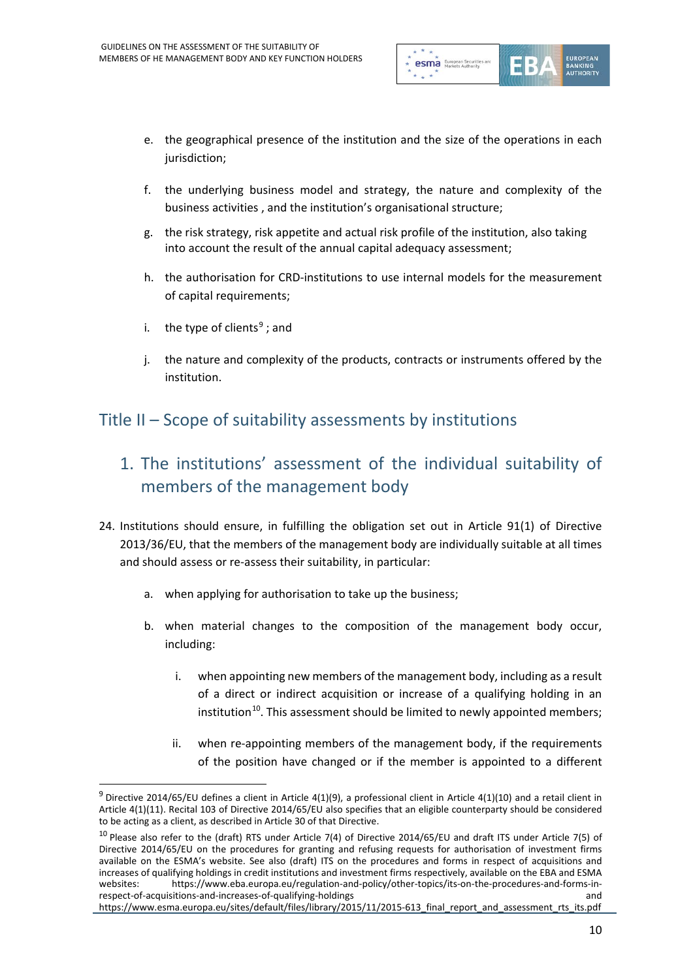

- e. the geographical presence of the institution and the size of the operations in each jurisdiction;
- f. the underlying business model and strategy, the nature and complexity of the business activities , and the institution's organisational structure;
- g. the risk strategy, risk appetite and actual risk profile of the institution, also taking into account the result of the annual capital adequacy assessment;
- h. the authorisation for CRD-institutions to use internal models for the measurement of capital requirements;
- i. the type of clients<sup>[9](#page-9-0)</sup>; and

 $\overline{a}$ 

j. the nature and complexity of the products, contracts or instruments offered by the institution.

#### Title II – Scope of suitability assessments by institutions

- 1. The institutions' assessment of the individual suitability of members of the management body
- 24. Institutions should ensure, in fulfilling the obligation set out in Article 91(1) of Directive 2013/36/EU, that the members of the management body are individually suitable at all times and should assess or re-assess their suitability, in particular:
	- a. when applying for authorisation to take up the business;
	- b. when material changes to the composition of the management body occur, including:
		- i. when appointing new members of the management body, including as a result of a direct or indirect acquisition or increase of a qualifying holding in an institution<sup>10</sup>. This assessment should be limited to newly appointed members;
		- ii. when re-appointing members of the management body, if the requirements of the position have changed or if the member is appointed to a different

<span id="page-9-0"></span> $9$  Directive 2014/65/EU defines a client in Article 4(1)(9), a professional client in Article 4(1)(10) and a retail client in Article 4(1)(11). Recital 103 of Directive 2014/65/EU also specifies that an eligible counterparty should be considered to be acting as a client, as described in Article 30 of that Directive.

<span id="page-9-1"></span> $10$  Please also refer to the (draft) RTS under Article 7(4) of Directive 2014/65/EU and draft ITS under Article 7(5) of Directive 2014/65/EU on the procedures for granting and refusing requests for authorisation of investment firms available on the ESMA's website. See also (draft) ITS on the procedures and forms in respect of acquisitions and increases of qualifying holdings in credit institutions and investment firms respectively, available on the EBA and ESMA websites: https://www.eba.europa.eu/regulation-and-policy/other-topics/its-on-the-procedures-and-forms-inrespect-of-acquisitions-and-increases-of-qualifying-holdings and

https://www.esma.europa.eu/sites/default/files/library/2015/11/2015-613\_final\_report\_and\_assessment\_rts\_its.pdf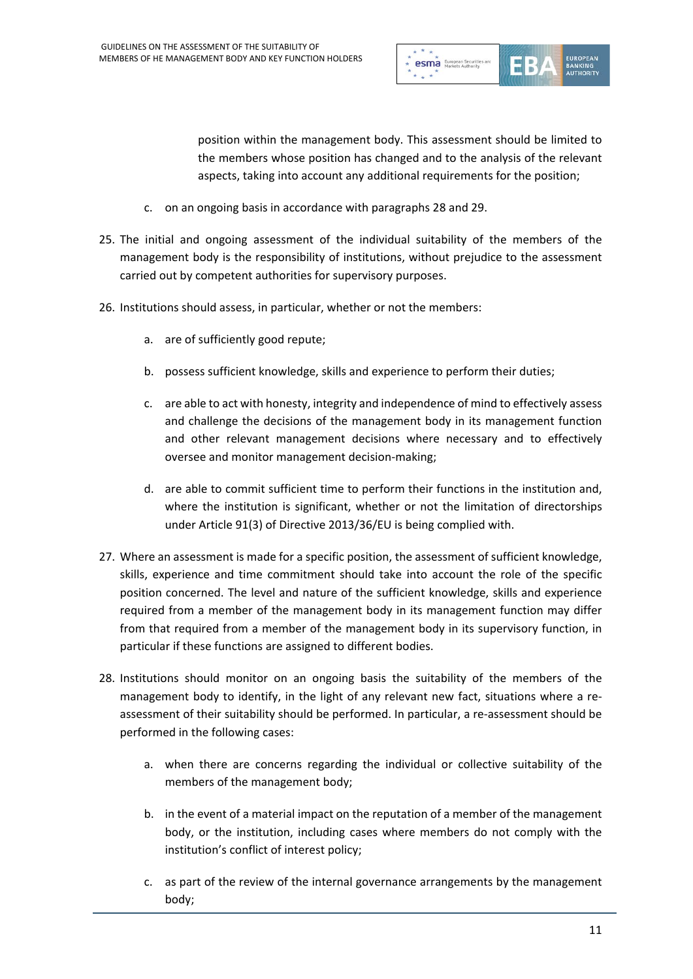

position within the management body. This assessment should be limited to the members whose position has changed and to the analysis of the relevant aspects, taking into account any additional requirements for the position;

- c. on an ongoing basis in accordance with paragraphs 28 and 29.
- 25. The initial and ongoing assessment of the individual suitability of the members of the management body is the responsibility of institutions, without prejudice to the assessment carried out by competent authorities for supervisory purposes.
- 26. Institutions should assess, in particular, whether or not the members:
	- a. are of sufficiently good repute;
	- b. possess sufficient knowledge, skills and experience to perform their duties;
	- c. are able to act with honesty, integrity and independence of mind to effectively assess and challenge the decisions of the management body in its management function and other relevant management decisions where necessary and to effectively oversee and monitor management decision-making;
	- d. are able to commit sufficient time to perform their functions in the institution and, where the institution is significant, whether or not the limitation of directorships under Article 91(3) of Directive 2013/36/EU is being complied with.
- 27. Where an assessment is made for a specific position, the assessment of sufficient knowledge, skills, experience and time commitment should take into account the role of the specific position concerned. The level and nature of the sufficient knowledge, skills and experience required from a member of the management body in its management function may differ from that required from a member of the management body in its supervisory function, in particular if these functions are assigned to different bodies.
- 28. Institutions should monitor on an ongoing basis the suitability of the members of the management body to identify, in the light of any relevant new fact, situations where a reassessment of their suitability should be performed. In particular, a re-assessment should be performed in the following cases:
	- a. when there are concerns regarding the individual or collective suitability of the members of the management body;
	- b. in the event of a material impact on the reputation of a member of the management body, or the institution, including cases where members do not comply with the institution's conflict of interest policy;
	- c. as part of the review of the internal governance arrangements by the management body;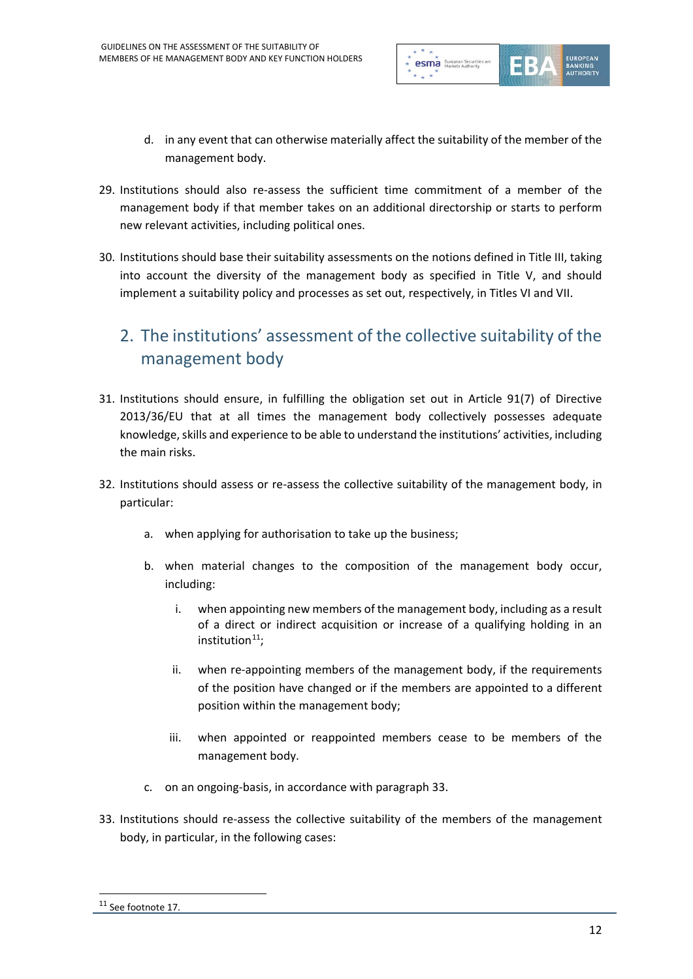

- d. in any event that can otherwise materially affect the suitability of the member of the management body.
- 29. Institutions should also re-assess the sufficient time commitment of a member of the management body if that member takes on an additional directorship or starts to perform new relevant activities, including political ones.
- 30. Institutions should base their suitability assessments on the notions defined in Title III, taking into account the diversity of the management body as specified in Title V, and should implement a suitability policy and processes as set out, respectively, in Titles VI and VII.

# 2. The institutions' assessment of the collective suitability of the management body

- 31. Institutions should ensure, in fulfilling the obligation set out in Article 91(7) of Directive 2013/36/EU that at all times the management body collectively possesses adequate knowledge, skills and experience to be able to understand the institutions' activities, including the main risks.
- 32. Institutions should assess or re-assess the collective suitability of the management body, in particular:
	- a. when applying for authorisation to take up the business;
	- b. when material changes to the composition of the management body occur, including:
		- i. when appointing new members of the management body, including as a result of a direct or indirect acquisition or increase of a qualifying holding in an institution $11$ :
		- ii. when re-appointing members of the management body, if the requirements of the position have changed or if the members are appointed to a different position within the management body;
		- iii. when appointed or reappointed members cease to be members of the management body.
	- c. on an ongoing-basis, in accordance with paragraph 33.
- 33. Institutions should re-assess the collective suitability of the members of the management body, in particular, in the following cases:

<span id="page-11-0"></span><sup>11</sup> See footnote 17.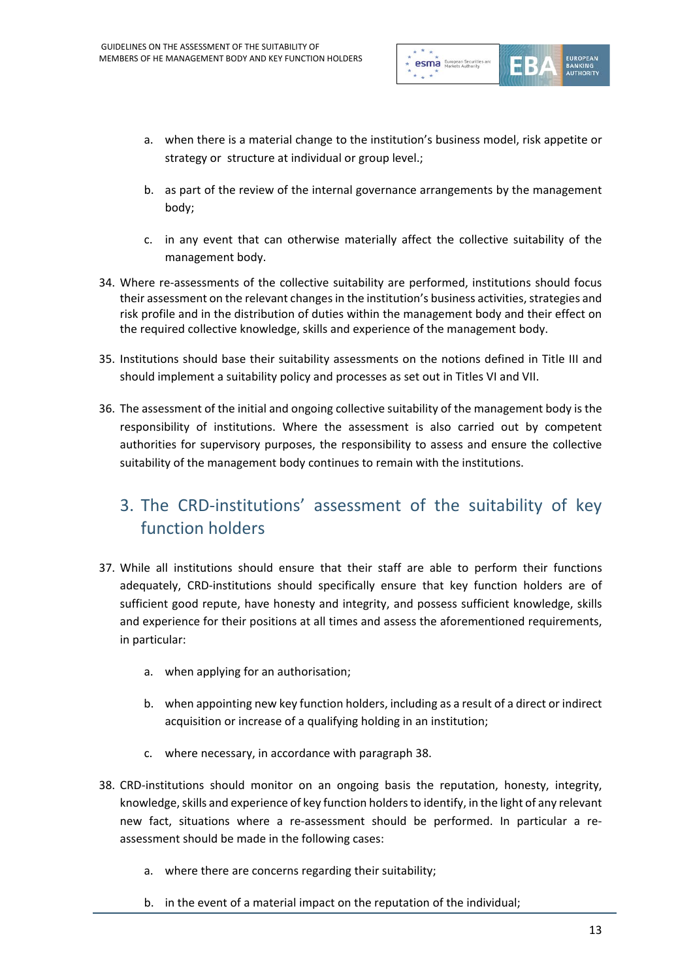

- a. when there is a material change to the institution's business model, risk appetite or strategy or structure at individual or group level.;
- b. as part of the review of the internal governance arrangements by the management body;
- c. in any event that can otherwise materially affect the collective suitability of the management body.
- 34. Where re-assessments of the collective suitability are performed, institutions should focus their assessment on the relevant changes in the institution's business activities, strategies and risk profile and in the distribution of duties within the management body and their effect on the required collective knowledge, skills and experience of the management body.
- 35. Institutions should base their suitability assessments on the notions defined in Title III and should implement a suitability policy and processes as set out in Titles VI and VII.
- 36. The assessment of the initial and ongoing collective suitability of the management body is the responsibility of institutions. Where the assessment is also carried out by competent authorities for supervisory purposes, the responsibility to assess and ensure the collective suitability of the management body continues to remain with the institutions.

### 3. The CRD-institutions' assessment of the suitability of key function holders

- 37. While all institutions should ensure that their staff are able to perform their functions adequately, CRD-institutions should specifically ensure that key function holders are of sufficient good repute, have honesty and integrity, and possess sufficient knowledge, skills and experience for their positions at all times and assess the aforementioned requirements, in particular:
	- a. when applying for an authorisation;
	- b. when appointing new key function holders, including as a result of a direct or indirect acquisition or increase of a qualifying holding in an institution;
	- c. where necessary, in accordance with paragraph 38.
- 38. CRD-institutions should monitor on an ongoing basis the reputation, honesty, integrity, knowledge, skills and experience of key function holders to identify, in the light of any relevant new fact, situations where a re-assessment should be performed. In particular a reassessment should be made in the following cases:
	- a. where there are concerns regarding their suitability;
	- b. in the event of a material impact on the reputation of the individual;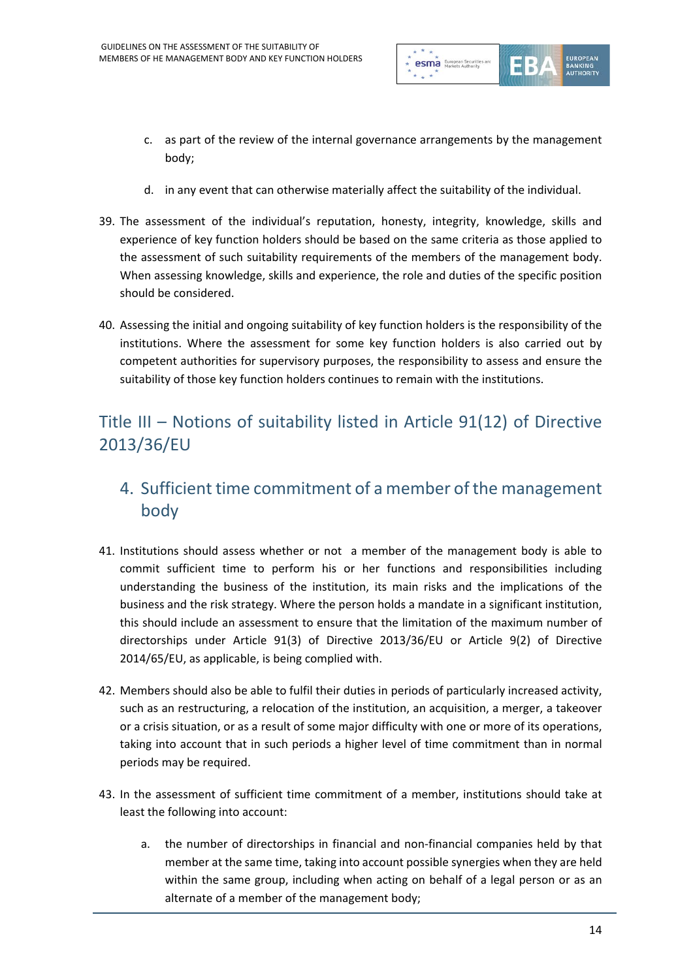

- c. as part of the review of the internal governance arrangements by the management body;
- d. in any event that can otherwise materially affect the suitability of the individual.
- 39. The assessment of the individual's reputation, honesty, integrity, knowledge, skills and experience of key function holders should be based on the same criteria as those applied to the assessment of such suitability requirements of the members of the management body. When assessing knowledge, skills and experience, the role and duties of the specific position should be considered.
- 40. Assessing the initial and ongoing suitability of key function holders is the responsibility of the institutions. Where the assessment for some key function holders is also carried out by competent authorities for supervisory purposes, the responsibility to assess and ensure the suitability of those key function holders continues to remain with the institutions.

## Title III – Notions of suitability listed in Article 91(12) of Directive 2013/36/EU

### 4. Sufficient time commitment of a member of the management body

- 41. Institutions should assess whether or not a member of the management body is able to commit sufficient time to perform his or her functions and responsibilities including understanding the business of the institution, its main risks and the implications of the business and the risk strategy. Where the person holds a mandate in a significant institution, this should include an assessment to ensure that the limitation of the maximum number of directorships under Article 91(3) of Directive 2013/36/EU or Article 9(2) of Directive 2014/65/EU, as applicable, is being complied with.
- 42. Members should also be able to fulfil their duties in periods of particularly increased activity, such as an restructuring, a relocation of the institution, an acquisition, a merger, a takeover or a crisis situation, or as a result of some major difficulty with one or more of its operations, taking into account that in such periods a higher level of time commitment than in normal periods may be required.
- 43. In the assessment of sufficient time commitment of a member, institutions should take at least the following into account:
	- a. the number of directorships in financial and non-financial companies held by that member at the same time, taking into account possible synergies when they are held within the same group, including when acting on behalf of a legal person or as an alternate of a member of the management body;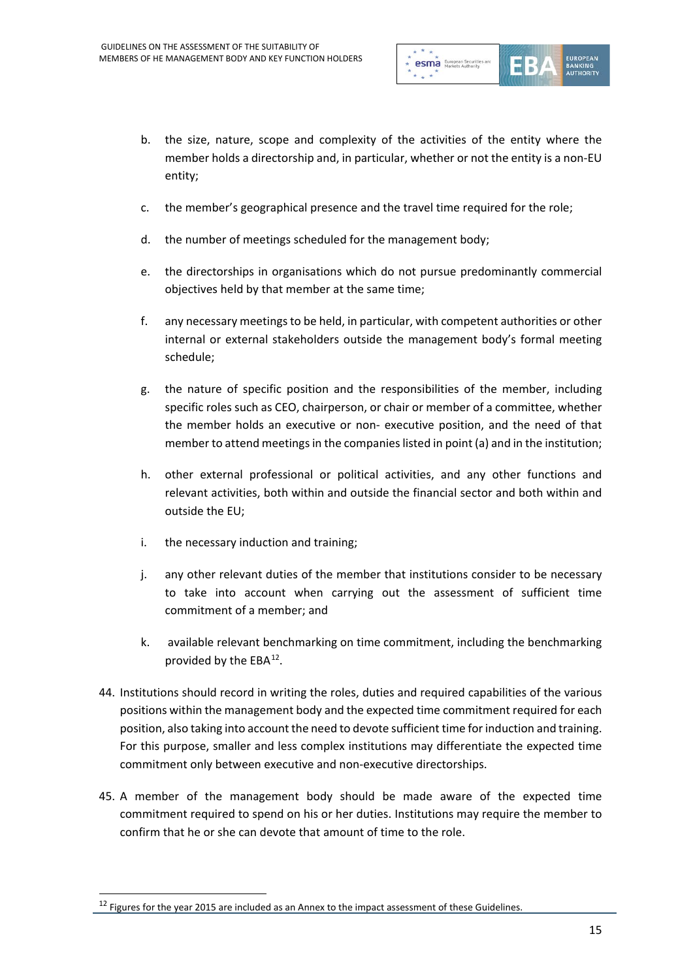

- b. the size, nature, scope and complexity of the activities of the entity where the member holds a directorship and, in particular, whether or not the entity is a non-EU entity;
- c. the member's geographical presence and the travel time required for the role;
- d. the number of meetings scheduled for the management body;
- e. the directorships in organisations which do not pursue predominantly commercial objectives held by that member at the same time;
- f. any necessary meetings to be held, in particular, with competent authorities or other internal or external stakeholders outside the management body's formal meeting schedule;
- g. the nature of specific position and the responsibilities of the member, including specific roles such as CEO, chairperson, or chair or member of a committee, whether the member holds an executive or non- executive position, and the need of that member to attend meetings in the companies listed in point (a) and in the institution;
- h. other external professional or political activities, and any other functions and relevant activities, both within and outside the financial sector and both within and outside the EU;
- i. the necessary induction and training;
- j. any other relevant duties of the member that institutions consider to be necessary to take into account when carrying out the assessment of sufficient time commitment of a member; and
- k. available relevant benchmarking on time commitment, including the benchmarking provided by the EBA<sup>[12](#page-14-0)</sup>.
- 44. Institutions should record in writing the roles, duties and required capabilities of the various positions within the management body and the expected time commitment required for each position, also taking into account the need to devote sufficient time for induction and training. For this purpose, smaller and less complex institutions may differentiate the expected time commitment only between executive and non-executive directorships.
- 45. A member of the management body should be made aware of the expected time commitment required to spend on his or her duties. Institutions may require the member to confirm that he or she can devote that amount of time to the role.

<span id="page-14-0"></span><sup>&</sup>lt;sup>12</sup> Figures for the year 2015 are included as an Annex to the impact assessment of these Guidelines.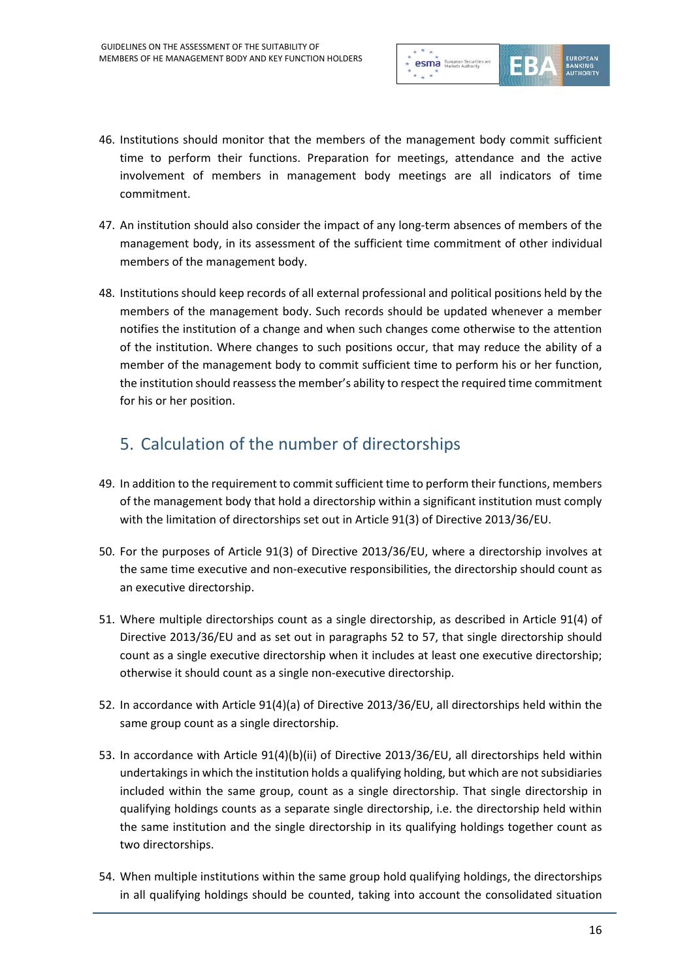

- 46. Institutions should monitor that the members of the management body commit sufficient time to perform their functions. Preparation for meetings, attendance and the active involvement of members in management body meetings are all indicators of time commitment.
- 47. An institution should also consider the impact of any long-term absences of members of the management body, in its assessment of the sufficient time commitment of other individual members of the management body.
- 48. Institutions should keep records of all external professional and political positions held by the members of the management body. Such records should be updated whenever a member notifies the institution of a change and when such changes come otherwise to the attention of the institution. Where changes to such positions occur, that may reduce the ability of a member of the management body to commit sufficient time to perform his or her function, the institution should reassess the member's ability to respect the required time commitment for his or her position.

# 5. Calculation of the number of directorships

- 49. In addition to the requirement to commit sufficient time to perform their functions, members of the management body that hold a directorship within a significant institution must comply with the limitation of directorships set out in Article 91(3) of Directive 2013/36/EU.
- 50. For the purposes of Article 91(3) of Directive 2013/36/EU, where a directorship involves at the same time executive and non-executive responsibilities, the directorship should count as an executive directorship.
- 51. Where multiple directorships count as a single directorship, as described in Article 91(4) of Directive 2013/36/EU and as set out in paragraphs 52 to 57, that single directorship should count as a single executive directorship when it includes at least one executive directorship; otherwise it should count as a single non-executive directorship.
- 52. In accordance with Article 91(4)(a) of Directive 2013/36/EU, all directorships held within the same group count as a single directorship.
- 53. In accordance with Article 91(4)(b)(ii) of Directive 2013/36/EU, all directorships held within undertakings in which the institution holds a qualifying holding, but which are not subsidiaries included within the same group, count as a single directorship. That single directorship in qualifying holdings counts as a separate single directorship, i.e. the directorship held within the same institution and the single directorship in its qualifying holdings together count as two directorships.
- 54. When multiple institutions within the same group hold qualifying holdings, the directorships in all qualifying holdings should be counted, taking into account the consolidated situation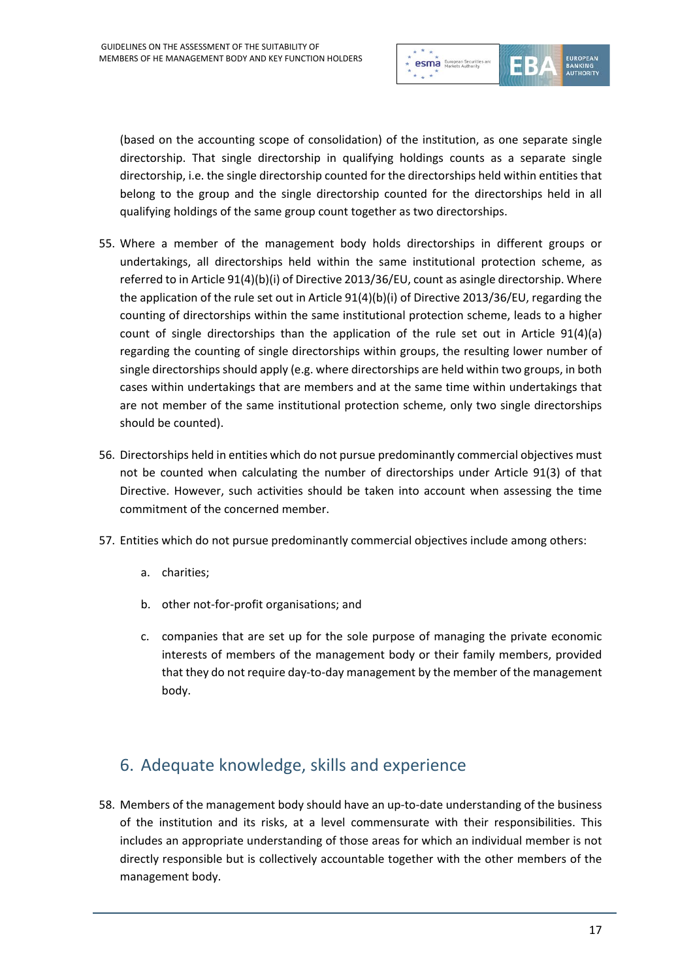

(based on the accounting scope of consolidation) of the institution, as one separate single directorship. That single directorship in qualifying holdings counts as a separate single directorship, i.e. the single directorship counted for the directorships held within entities that belong to the group and the single directorship counted for the directorships held in all qualifying holdings of the same group count together as two directorships.

- 55. Where a member of the management body holds directorships in different groups or undertakings, all directorships held within the same institutional protection scheme, as referred to in Article 91(4)(b)(i) of Directive 2013/36/EU, count as asingle directorship. Where the application of the rule set out in Article 91(4)(b)(i) of Directive 2013/36/EU, regarding the counting of directorships within the same institutional protection scheme, leads to a higher count of single directorships than the application of the rule set out in Article 91(4)(a) regarding the counting of single directorships within groups, the resulting lower number of single directorships should apply (e.g. where directorships are held within two groups, in both cases within undertakings that are members and at the same time within undertakings that are not member of the same institutional protection scheme, only two single directorships should be counted).
- 56. Directorships held in entities which do not pursue predominantly commercial objectives must not be counted when calculating the number of directorships under Article 91(3) of that Directive. However, such activities should be taken into account when assessing the time commitment of the concerned member.
- 57. Entities which do not pursue predominantly commercial objectives include among others:
	- a. charities;
	- b. other not-for-profit organisations; and
	- c. companies that are set up for the sole purpose of managing the private economic interests of members of the management body or their family members, provided that they do not require day-to-day management by the member of the management body.

### 6. Adequate knowledge, skills and experience

58. Members of the management body should have an up-to-date understanding of the business of the institution and its risks, at a level commensurate with their responsibilities. This includes an appropriate understanding of those areas for which an individual member is not directly responsible but is collectively accountable together with the other members of the management body.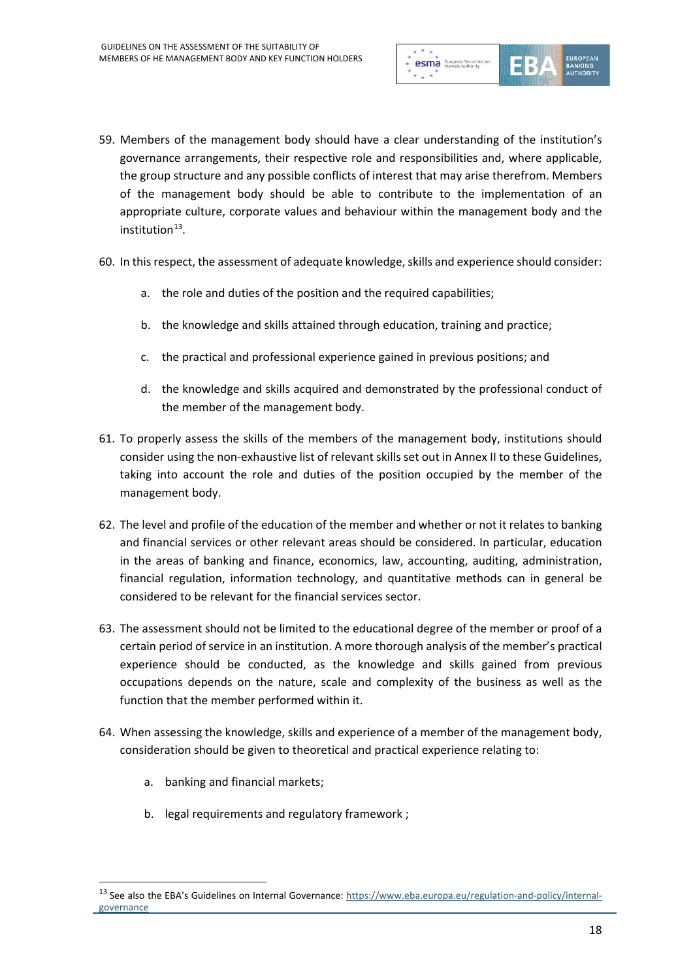

- 59. Members of the management body should have a clear understanding of the institution's governance arrangements, their respective role and responsibilities and, where applicable, the group structure and any possible conflicts of interest that may arise therefrom. Members of the management body should be able to contribute to the implementation of an appropriate culture, corporate values and behaviour within the management body and the  $institution<sup>13</sup>$ .
- 60. In this respect, the assessment of adequate knowledge, skills and experience should consider:
	- a. the role and duties of the position and the required capabilities;
	- b. the knowledge and skills attained through education, training and practice;
	- c. the practical and professional experience gained in previous positions; and
	- d. the knowledge and skills acquired and demonstrated by the professional conduct of the member of the management body.
- 61. To properly assess the skills of the members of the management body, institutions should consider using the non-exhaustive list of relevant skills set out in Annex II to these Guidelines, taking into account the role and duties of the position occupied by the member of the management body.
- 62. The level and profile of the education of the member and whether or not it relates to banking and financial services or other relevant areas should be considered. In particular, education in the areas of banking and finance, economics, law, accounting, auditing, administration, financial regulation, information technology, and quantitative methods can in general be considered to be relevant for the financial services sector.
- 63. The assessment should not be limited to the educational degree of the member or proof of a certain period of service in an institution. A more thorough analysis of the member's practical experience should be conducted, as the knowledge and skills gained from previous occupations depends on the nature, scale and complexity of the business as well as the function that the member performed within it.
- 64. When assessing the knowledge, skills and experience of a member of the management body, consideration should be given to theoretical and practical experience relating to:
	- a. banking and financial markets;

 $\overline{a}$ 

b. legal requirements and regulatory framework ;

<span id="page-17-0"></span><sup>&</sup>lt;sup>13</sup> See also the EBA's Guidelines on Internal Governance[: https://www.eba.europa.eu/regulation-and-policy/internal](https://www.eba.europa.eu/regulation-and-policy/internal-governance)[governance](https://www.eba.europa.eu/regulation-and-policy/internal-governance)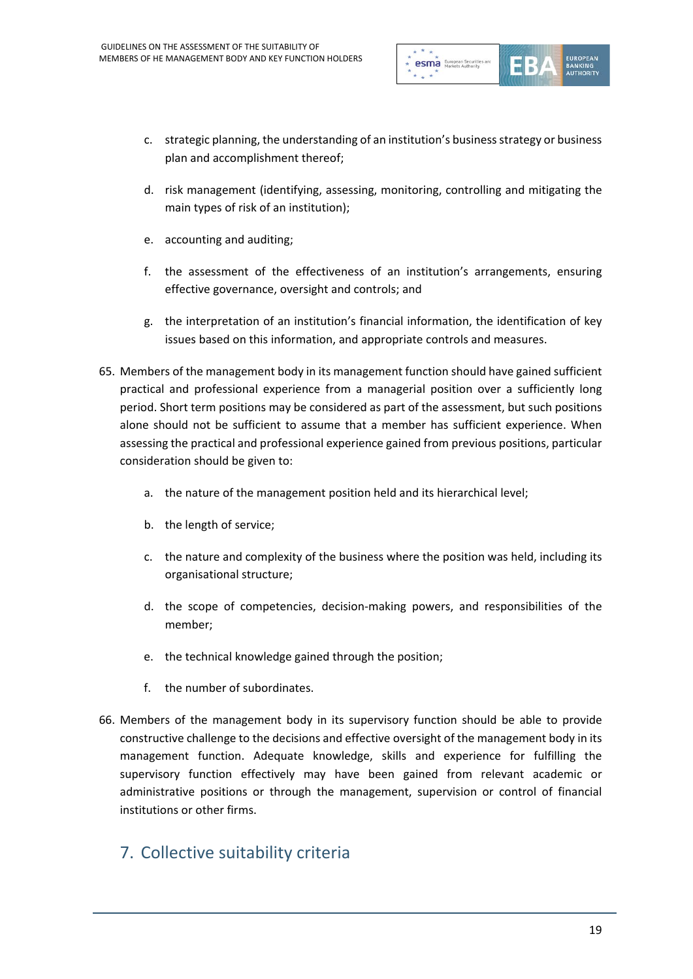

- c. strategic planning, the understanding of an institution's business strategy or business plan and accomplishment thereof;
- d. risk management (identifying, assessing, monitoring, controlling and mitigating the main types of risk of an institution);
- e. accounting and auditing;
- f. the assessment of the effectiveness of an institution's arrangements, ensuring effective governance, oversight and controls; and
- g. the interpretation of an institution's financial information, the identification of key issues based on this information, and appropriate controls and measures.
- 65. Members of the management body in its management function should have gained sufficient practical and professional experience from a managerial position over a sufficiently long period. Short term positions may be considered as part of the assessment, but such positions alone should not be sufficient to assume that a member has sufficient experience. When assessing the practical and professional experience gained from previous positions, particular consideration should be given to:
	- a. the nature of the management position held and its hierarchical level;
	- b. the length of service;
	- c. the nature and complexity of the business where the position was held, including its organisational structure;
	- d. the scope of competencies, decision-making powers, and responsibilities of the member;
	- e. the technical knowledge gained through the position;
	- f. the number of subordinates.
- 66. Members of the management body in its supervisory function should be able to provide constructive challenge to the decisions and effective oversight of the management body in its management function. Adequate knowledge, skills and experience for fulfilling the supervisory function effectively may have been gained from relevant academic or administrative positions or through the management, supervision or control of financial institutions or other firms.

#### 7. Collective suitability criteria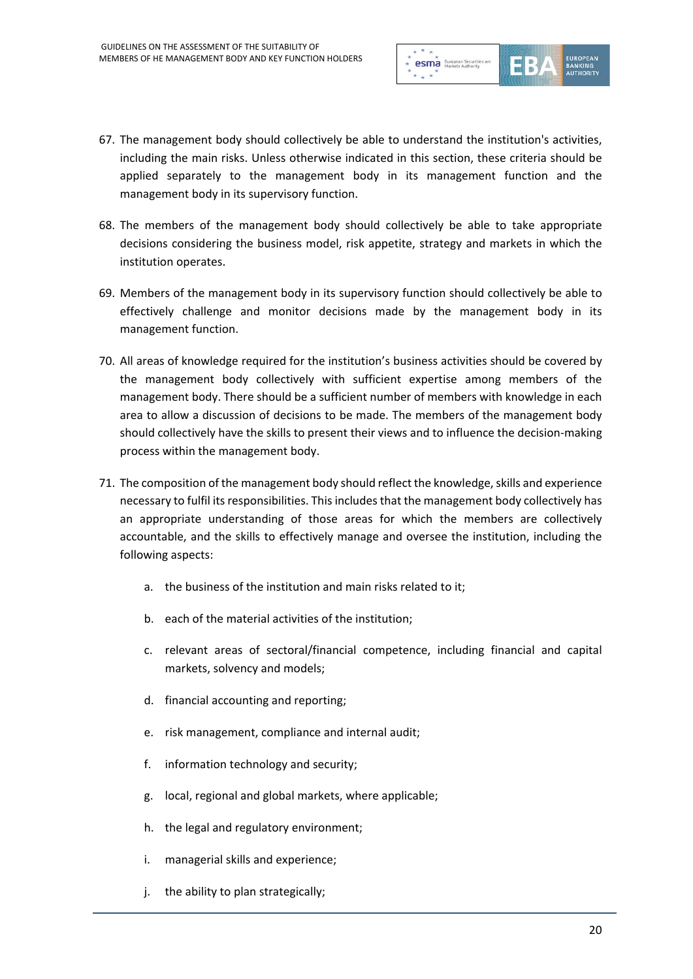

- 67. The management body should collectively be able to understand the institution's activities, including the main risks. Unless otherwise indicated in this section, these criteria should be applied separately to the management body in its management function and the management body in its supervisory function.
- 68. The members of the management body should collectively be able to take appropriate decisions considering the business model, risk appetite, strategy and markets in which the institution operates.
- 69. Members of the management body in its supervisory function should collectively be able to effectively challenge and monitor decisions made by the management body in its management function.
- 70. All areas of knowledge required for the institution's business activities should be covered by the management body collectively with sufficient expertise among members of the management body. There should be a sufficient number of members with knowledge in each area to allow a discussion of decisions to be made. The members of the management body should collectively have the skills to present their views and to influence the decision-making process within the management body.
- 71. The composition of the management body should reflect the knowledge, skills and experience necessary to fulfil its responsibilities. This includes that the management body collectively has an appropriate understanding of those areas for which the members are collectively accountable, and the skills to effectively manage and oversee the institution, including the following aspects:
	- a. the business of the institution and main risks related to it;
	- b. each of the material activities of the institution;
	- c. relevant areas of sectoral/financial competence, including financial and capital markets, solvency and models;
	- d. financial accounting and reporting;
	- e. risk management, compliance and internal audit;
	- f. information technology and security;
	- g. local, regional and global markets, where applicable;
	- h. the legal and regulatory environment;
	- i. managerial skills and experience;
	- j. the ability to plan strategically;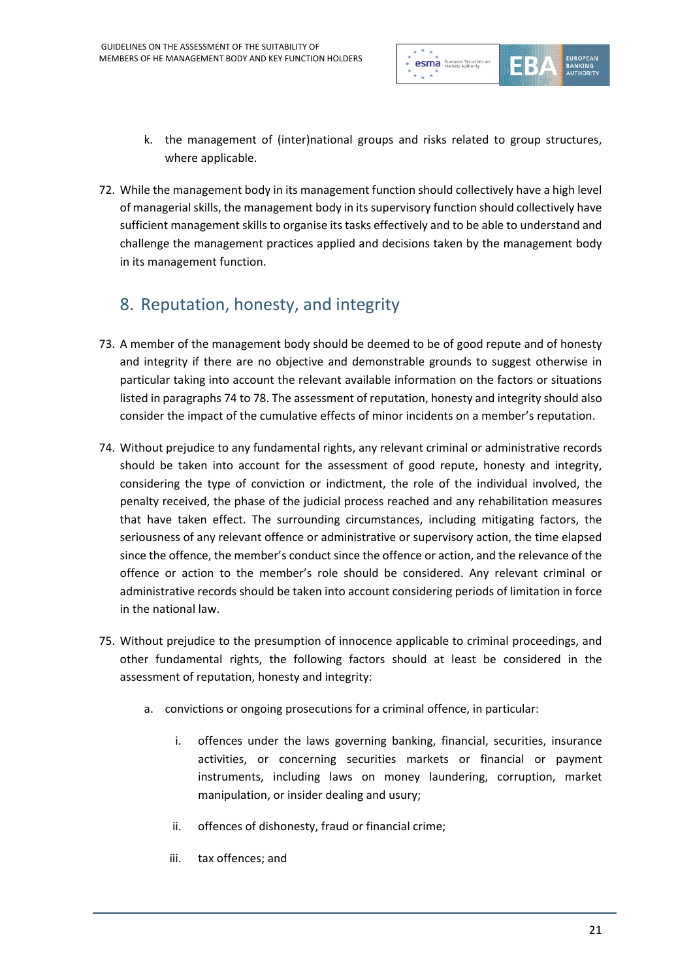

- k. the management of (inter)national groups and risks related to group structures, where applicable.
- 72. While the management body in its management function should collectively have a high level of managerial skills, the management body in its supervisory function should collectively have sufficient management skills to organise its tasks effectively and to be able to understand and challenge the management practices applied and decisions taken by the management body in its management function.

## 8. Reputation, honesty, and integrity

- 73. A member of the management body should be deemed to be of good repute and of honesty and integrity if there are no objective and demonstrable grounds to suggest otherwise in particular taking into account the relevant available information on the factors or situations listed in paragraphs 74 to 78. The assessment of reputation, honesty and integrity should also consider the impact of the cumulative effects of minor incidents on a member's reputation.
- 74. Without prejudice to any fundamental rights, any relevant criminal or administrative records should be taken into account for the assessment of good repute, honesty and integrity, considering the type of conviction or indictment, the role of the individual involved, the penalty received, the phase of the judicial process reached and any rehabilitation measures that have taken effect. The surrounding circumstances, including mitigating factors, the seriousness of any relevant offence or administrative or supervisory action, the time elapsed since the offence, the member's conduct since the offence or action, and the relevance of the offence or action to the member's role should be considered. Any relevant criminal or administrative records should be taken into account considering periods of limitation in force in the national law.
- 75. Without prejudice to the presumption of innocence applicable to criminal proceedings, and other fundamental rights, the following factors should at least be considered in the assessment of reputation, honesty and integrity:
	- a. convictions or ongoing prosecutions for a criminal offence, in particular:
		- i. offences under the laws governing banking, financial, securities, insurance activities, or concerning securities markets or financial or payment instruments, including laws on money laundering, corruption, market manipulation, or insider dealing and usury;
		- ii. offences of dishonesty, fraud or financial crime;
		- iii. tax offences; and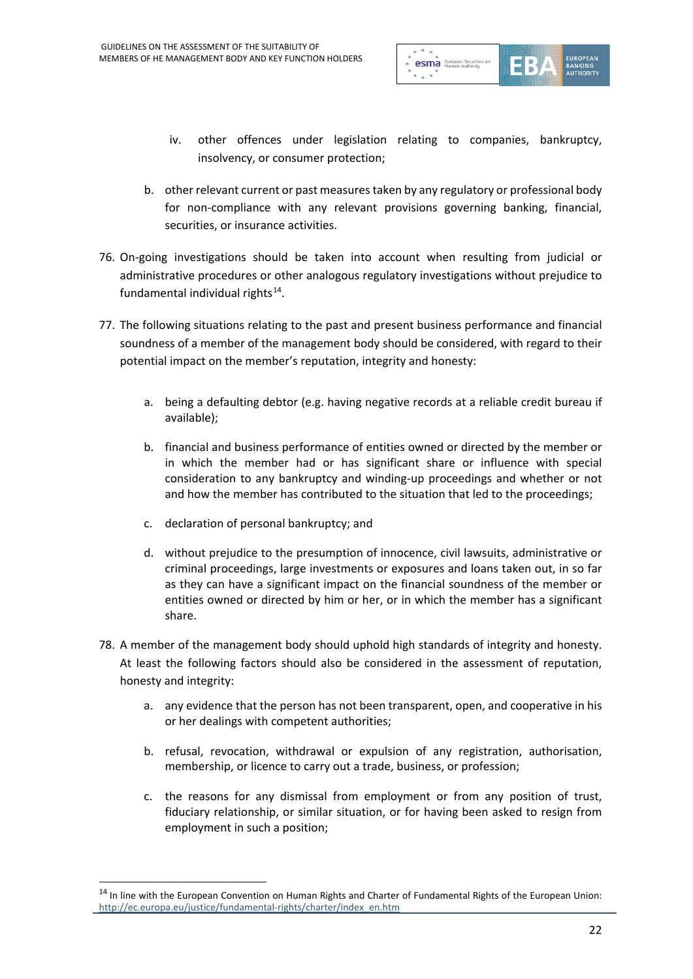

- iv. other offences under legislation relating to companies, bankruptcy, insolvency, or consumer protection;
- b. other relevant current or past measures taken by any regulatory or professional body for non-compliance with any relevant provisions governing banking, financial, securities, or insurance activities.
- 76. On-going investigations should be taken into account when resulting from judicial or administrative procedures or other analogous regulatory investigations without prejudice to fundamental individual rights $^{14}$ .
- 77. The following situations relating to the past and present business performance and financial soundness of a member of the management body should be considered, with regard to their potential impact on the member's reputation, integrity and honesty:
	- a. being a defaulting debtor (e.g. having negative records at a reliable credit bureau if available);
	- b. financial and business performance of entities owned or directed by the member or in which the member had or has significant share or influence with special consideration to any bankruptcy and winding-up proceedings and whether or not and how the member has contributed to the situation that led to the proceedings;
	- c. declaration of personal bankruptcy; and

- d. without prejudice to the presumption of innocence, civil lawsuits, administrative or criminal proceedings, large investments or exposures and loans taken out, in so far as they can have a significant impact on the financial soundness of the member or entities owned or directed by him or her, or in which the member has a significant share.
- 78. A member of the management body should uphold high standards of integrity and honesty. At least the following factors should also be considered in the assessment of reputation, honesty and integrity:
	- a. any evidence that the person has not been transparent, open, and cooperative in his or her dealings with competent authorities;
	- b. refusal, revocation, withdrawal or expulsion of any registration, authorisation, membership, or licence to carry out a trade, business, or profession;
	- c. the reasons for any dismissal from employment or from any position of trust, fiduciary relationship, or similar situation, or for having been asked to resign from employment in such a position;

<span id="page-21-0"></span><sup>&</sup>lt;sup>14</sup> In line with the European Convention on Human Rights and Charter of Fundamental Rights of the European Union: [http://ec.europa.eu/justice/fundamental-rights/charter/index\\_en.htm](http://ec.europa.eu/justice/fundamental-rights/charter/index_en.htm)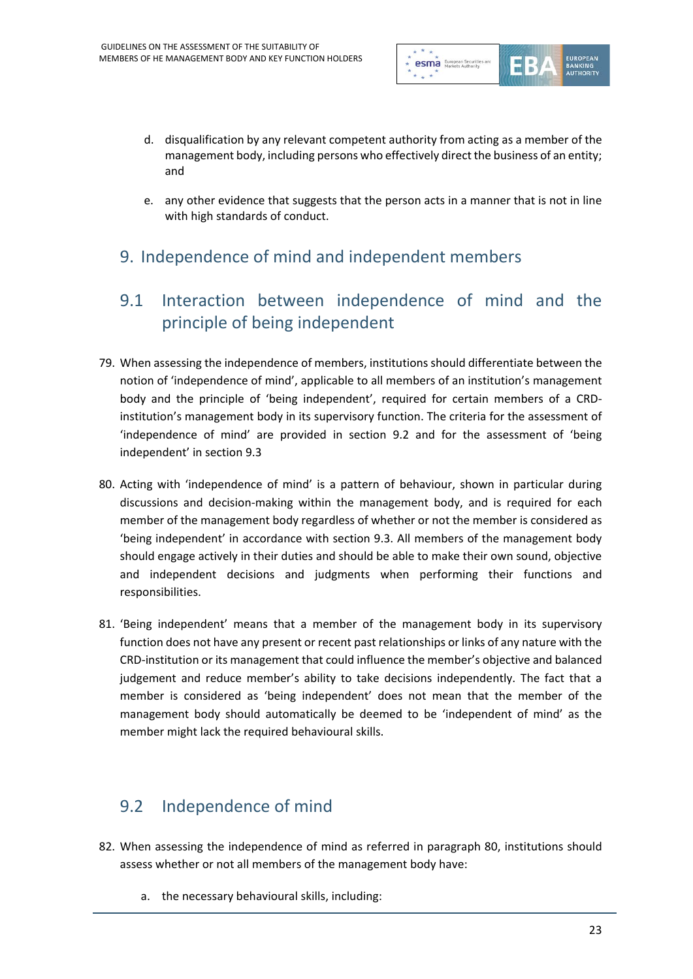

- d. disqualification by any relevant competent authority from acting as a member of the management body, including persons who effectively direct the business of an entity; and
- e. any other evidence that suggests that the person acts in a manner that is not in line with high standards of conduct.

### 9. Independence of mind and independent members

#### 9.1 Interaction between independence of mind and the principle of being independent

- 79. When assessing the independence of members, institutions should differentiate between the notion of 'independence of mind', applicable to all members of an institution's management body and the principle of 'being independent', required for certain members of a CRDinstitution's management body in its supervisory function. The criteria for the assessment of 'independence of mind' are provided in section 9.2 and for the assessment of 'being independent' in section 9.3
- 80. Acting with 'independence of mind' is a pattern of behaviour, shown in particular during discussions and decision-making within the management body, and is required for each member of the management body regardless of whether or not the member is considered as 'being independent' in accordance with section 9.3. All members of the management body should engage actively in their duties and should be able to make their own sound, objective and independent decisions and judgments when performing their functions and responsibilities.
- 81. 'Being independent' means that a member of the management body in its supervisory function does not have any present or recent past relationships or links of any nature with the CRD-institution or its management that could influence the member's objective and balanced judgement and reduce member's ability to take decisions independently. The fact that a member is considered as 'being independent' does not mean that the member of the management body should automatically be deemed to be 'independent of mind' as the member might lack the required behavioural skills.

### 9.2 Independence of mind

- 82. When assessing the independence of mind as referred in paragraph 80, institutions should assess whether or not all members of the management body have:
	- a. the necessary behavioural skills, including: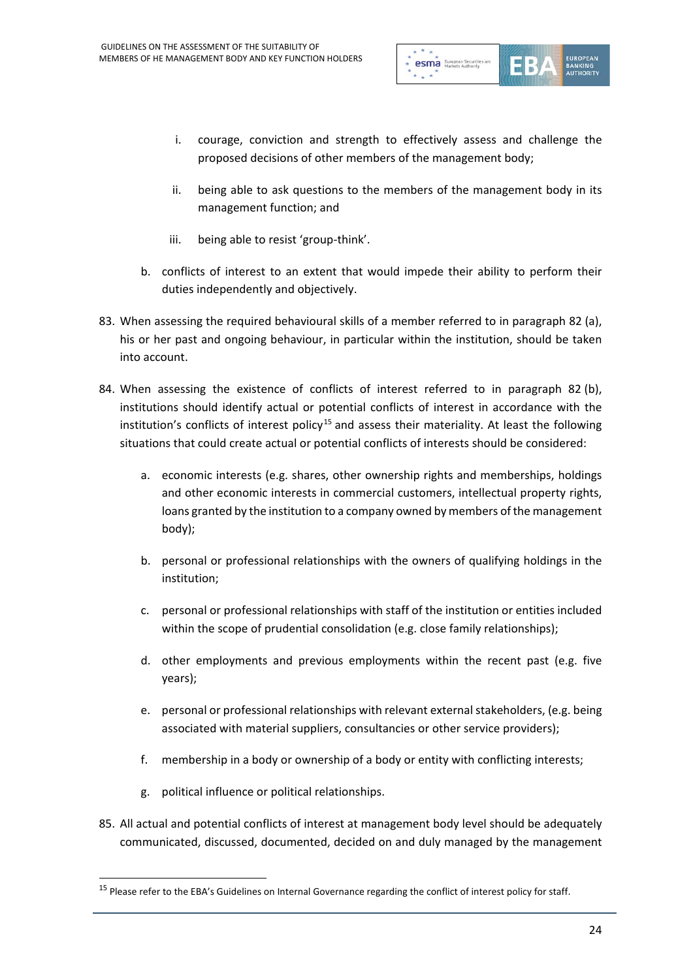

- i. courage, conviction and strength to effectively assess and challenge the proposed decisions of other members of the management body;
- ii. being able to ask questions to the members of the management body in its management function; and
- iii. being able to resist 'group-think'.
- b. conflicts of interest to an extent that would impede their ability to perform their duties independently and objectively.
- 83. When assessing the required behavioural skills of a member referred to in paragraph 82 (a), his or her past and ongoing behaviour, in particular within the institution, should be taken into account.
- 84. When assessing the existence of conflicts of interest referred to in paragraph 82 (b), institutions should identify actual or potential conflicts of interest in accordance with the institution's conflicts of interest policy<sup>[15](#page-23-0)</sup> and assess their materiality. At least the following situations that could create actual or potential conflicts of interests should be considered:
	- a. economic interests (e.g. shares, other ownership rights and memberships, holdings and other economic interests in commercial customers, intellectual property rights, loans granted by the institution to a company owned by members of the management body);
	- b. personal or professional relationships with the owners of qualifying holdings in the institution;
	- c. personal or professional relationships with staff of the institution or entities included within the scope of prudential consolidation (e.g. close family relationships);
	- d. other employments and previous employments within the recent past (e.g. five years);
	- e. personal or professional relationships with relevant external stakeholders, (e.g. being associated with material suppliers, consultancies or other service providers);
	- f. membership in a body or ownership of a body or entity with conflicting interests;
	- g. political influence or political relationships.

 $\overline{a}$ 

85. All actual and potential conflicts of interest at management body level should be adequately communicated, discussed, documented, decided on and duly managed by the management

<span id="page-23-0"></span><sup>&</sup>lt;sup>15</sup> Please refer to the EBA's Guidelines on Internal Governance regarding the conflict of interest policy for staff.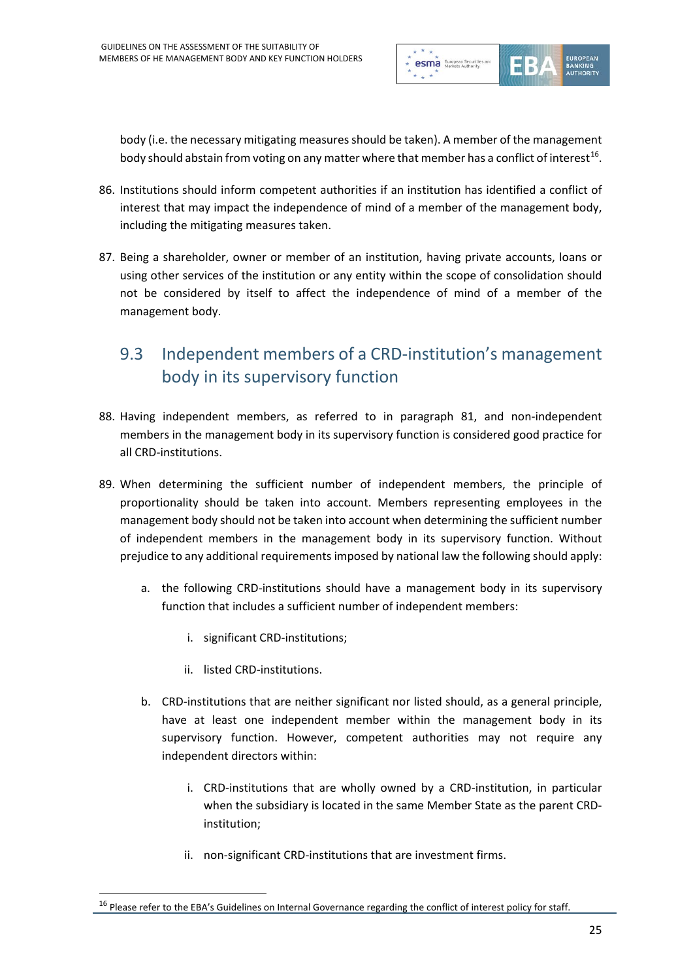

body (i.e. the necessary mitigating measures should be taken). A member of the management body should abstain from voting on any matter where that member has a conflict of interest<sup>16</sup>.

- 86. Institutions should inform competent authorities if an institution has identified a conflict of interest that may impact the independence of mind of a member of the management body, including the mitigating measures taken.
- 87. Being a shareholder, owner or member of an institution, having private accounts, loans or using other services of the institution or any entity within the scope of consolidation should not be considered by itself to affect the independence of mind of a member of the management body.

### 9.3 Independent members of a CRD-institution's management body in its supervisory function

- 88. Having independent members, as referred to in paragraph 81, and non-independent members in the management body in its supervisory function is considered good practice for all CRD-institutions.
- 89. When determining the sufficient number of independent members, the principle of proportionality should be taken into account. Members representing employees in the management body should not be taken into account when determining the sufficient number of independent members in the management body in its supervisory function. Without prejudice to any additional requirements imposed by national law the following should apply:
	- a. the following CRD-institutions should have a management body in its supervisory function that includes a sufficient number of independent members:
		- i. significant CRD-institutions;
		- ii. listed CRD-institutions.

- b. CRD-institutions that are neither significant nor listed should, as a general principle, have at least one independent member within the management body in its supervisory function. However, competent authorities may not require any independent directors within:
	- i. CRD-institutions that are wholly owned by a CRD-institution, in particular when the subsidiary is located in the same Member State as the parent CRDinstitution;
	- ii. non-significant CRD-institutions that are investment firms.

<span id="page-24-0"></span><sup>&</sup>lt;sup>16</sup> Please refer to the EBA's Guidelines on Internal Governance regarding the conflict of interest policy for staff.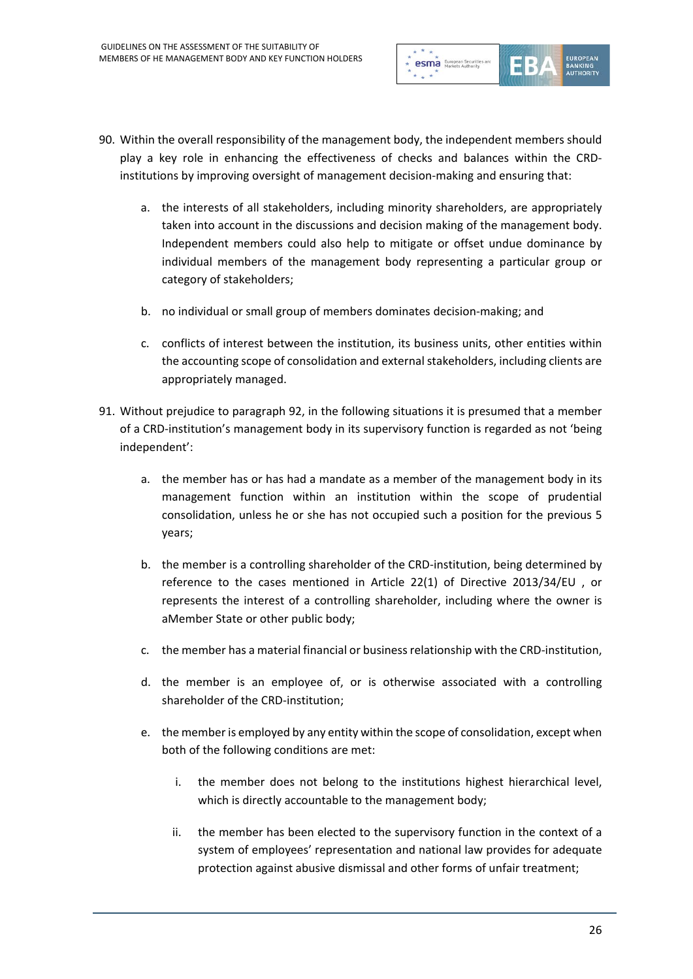

- 90. Within the overall responsibility of the management body, the independent members should play a key role in enhancing the effectiveness of checks and balances within the CRDinstitutions by improving oversight of management decision-making and ensuring that:
	- a. the interests of all stakeholders, including minority shareholders, are appropriately taken into account in the discussions and decision making of the management body. Independent members could also help to mitigate or offset undue dominance by individual members of the management body representing a particular group or category of stakeholders;
	- b. no individual or small group of members dominates decision-making; and
	- c. conflicts of interest between the institution, its business units, other entities within the accounting scope of consolidation and external stakeholders, including clients are appropriately managed.
- 91. Without prejudice to paragraph 92, in the following situations it is presumed that a member of a CRD-institution's management body in its supervisory function is regarded as not 'being independent':
	- a. the member has or has had a mandate as a member of the management body in its management function within an institution within the scope of prudential consolidation, unless he or she has not occupied such a position for the previous 5 years;
	- b. the member is a controlling shareholder of the CRD-institution, being determined by reference to the cases mentioned in Article 22(1) of Directive 2013/34/EU , or represents the interest of a controlling shareholder, including where the owner is aMember State or other public body;
	- c. the member has a material financial or business relationship with the CRD-institution,
	- d. the member is an employee of, or is otherwise associated with a controlling shareholder of the CRD-institution;
	- e. the member is employed by any entity within the scope of consolidation, except when both of the following conditions are met:
		- i. the member does not belong to the institutions highest hierarchical level, which is directly accountable to the management body;
		- ii. the member has been elected to the supervisory function in the context of a system of employees' representation and national law provides for adequate protection against abusive dismissal and other forms of unfair treatment;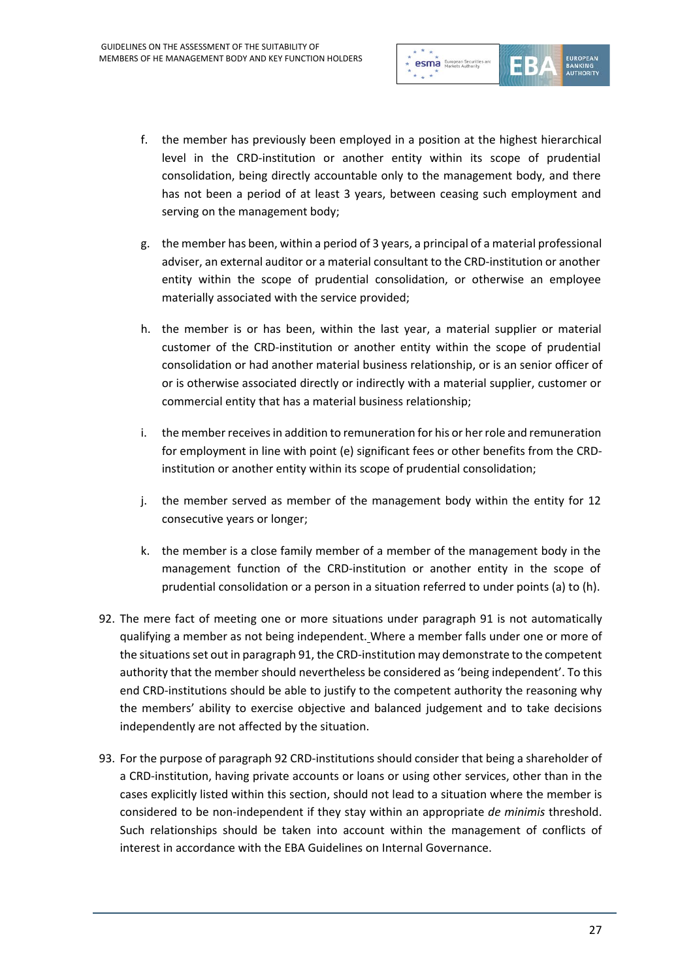

- f. the member has previously been employed in a position at the highest hierarchical level in the CRD-institution or another entity within its scope of prudential consolidation, being directly accountable only to the management body, and there has not been a period of at least 3 years, between ceasing such employment and serving on the management body;
- g. the member has been, within a period of 3 years, a principal of a material professional adviser, an external auditor or a material consultant to the CRD-institution or another entity within the scope of prudential consolidation, or otherwise an employee materially associated with the service provided;
- h. the member is or has been, within the last year, a material supplier or material customer of the CRD-institution or another entity within the scope of prudential consolidation or had another material business relationship, or is an senior officer of or is otherwise associated directly or indirectly with a material supplier, customer or commercial entity that has a material business relationship;
- i. the member receives in addition to remuneration for his or her role and remuneration for employment in line with point (e) significant fees or other benefits from the CRDinstitution or another entity within its scope of prudential consolidation;
- j. the member served as member of the management body within the entity for 12 consecutive years or longer;
- k. the member is a close family member of a member of the management body in the management function of the CRD-institution or another entity in the scope of prudential consolidation or a person in a situation referred to under points (a) to (h).
- 92. The mere fact of meeting one or more situations under paragraph 91 is not automatically qualifying a member as not being independent. Where a member falls under one or more of the situations set out in paragraph 91, the CRD-institution may demonstrate to the competent authority that the member should nevertheless be considered as 'being independent'. To this end CRD-institutions should be able to justify to the competent authority the reasoning why the members' ability to exercise objective and balanced judgement and to take decisions independently are not affected by the situation.
- 93. For the purpose of paragraph 92 CRD-institutions should consider that being a shareholder of a CRD-institution, having private accounts or loans or using other services, other than in the cases explicitly listed within this section, should not lead to a situation where the member is considered to be non-independent if they stay within an appropriate *de minimis* threshold. Such relationships should be taken into account within the management of conflicts of interest in accordance with the EBA Guidelines on Internal Governance.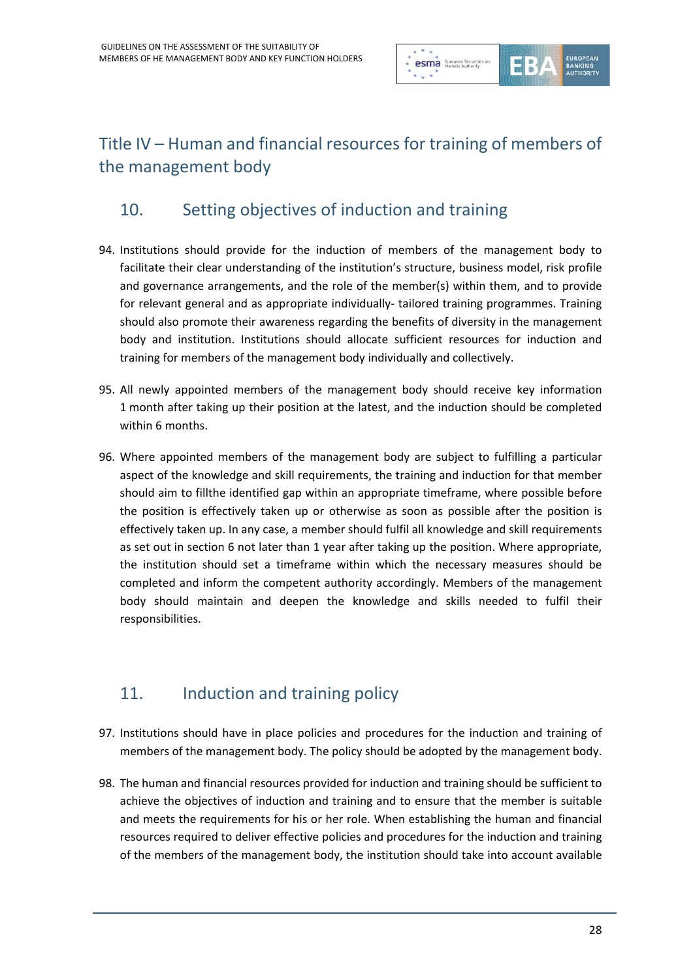

# Title IV – Human and financial resources for training of members of the management body

### 10. Setting objectives of induction and training

- 94. Institutions should provide for the induction of members of the management body to facilitate their clear understanding of the institution's structure, business model, risk profile and governance arrangements, and the role of the member(s) within them, and to provide for relevant general and as appropriate individually- tailored training programmes. Training should also promote their awareness regarding the benefits of diversity in the management body and institution. Institutions should allocate sufficient resources for induction and training for members of the management body individually and collectively.
- 95. All newly appointed members of the management body should receive key information 1 month after taking up their position at the latest, and the induction should be completed within 6 months.
- 96. Where appointed members of the management body are subject to fulfilling a particular aspect of the knowledge and skill requirements, the training and induction for that member should aim to fillthe identified gap within an appropriate timeframe, where possible before the position is effectively taken up or otherwise as soon as possible after the position is effectively taken up. In any case, a member should fulfil all knowledge and skill requirements as set out in section 6 not later than 1 year after taking up the position. Where appropriate, the institution should set a timeframe within which the necessary measures should be completed and inform the competent authority accordingly. Members of the management body should maintain and deepen the knowledge and skills needed to fulfil their responsibilities.

### 11. **Induction and training policy**

- 97. Institutions should have in place policies and procedures for the induction and training of members of the management body. The policy should be adopted by the management body.
- 98. The human and financial resources provided for induction and training should be sufficient to achieve the objectives of induction and training and to ensure that the member is suitable and meets the requirements for his or her role. When establishing the human and financial resources required to deliver effective policies and procedures for the induction and training of the members of the management body, the institution should take into account available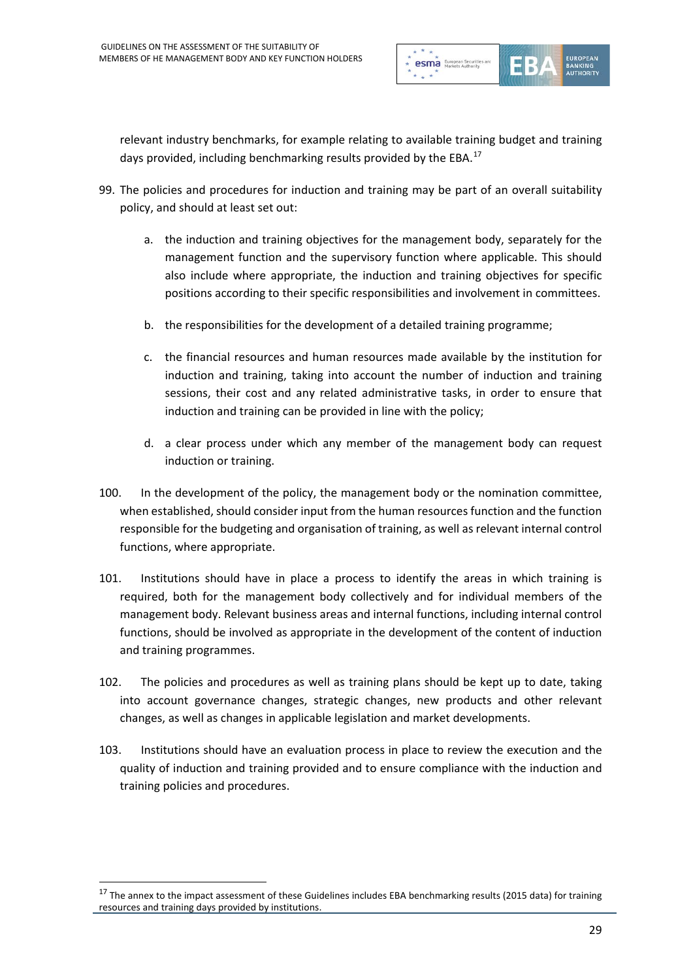

relevant industry benchmarks, for example relating to available training budget and training days provided, including benchmarking results provided by the EBA.<sup>[17](#page-28-0)</sup>

- 99. The policies and procedures for induction and training may be part of an overall suitability policy, and should at least set out:
	- a. the induction and training objectives for the management body, separately for the management function and the supervisory function where applicable. This should also include where appropriate, the induction and training objectives for specific positions according to their specific responsibilities and involvement in committees.
	- b. the responsibilities for the development of a detailed training programme;
	- c. the financial resources and human resources made available by the institution for induction and training, taking into account the number of induction and training sessions, their cost and any related administrative tasks, in order to ensure that induction and training can be provided in line with the policy;
	- d. a clear process under which any member of the management body can request induction or training.
- 100. In the development of the policy, the management body or the nomination committee, when established, should consider input from the human resources function and the function responsible for the budgeting and organisation of training, as well as relevant internal control functions, where appropriate.
- 101. Institutions should have in place a process to identify the areas in which training is required, both for the management body collectively and for individual members of the management body. Relevant business areas and internal functions, including internal control functions, should be involved as appropriate in the development of the content of induction and training programmes.
- 102. The policies and procedures as well as training plans should be kept up to date, taking into account governance changes, strategic changes, new products and other relevant changes, as well as changes in applicable legislation and market developments.
- 103. Institutions should have an evaluation process in place to review the execution and the quality of induction and training provided and to ensure compliance with the induction and training policies and procedures.

<span id="page-28-0"></span> $17$  The annex to the impact assessment of these Guidelines includes EBA benchmarking results (2015 data) for training resources and training days provided by institutions.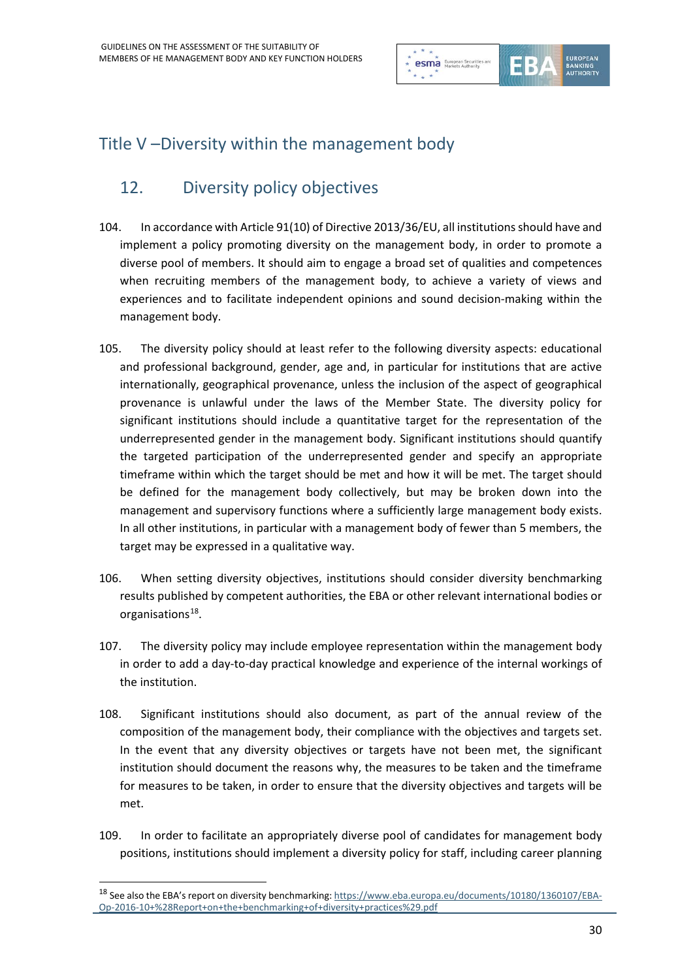

## Title V –Diversity within the management body

### 12. Diversity policy objectives

- 104. In accordance with Article 91(10) of Directive 2013/36/EU, all institutions should have and implement a policy promoting diversity on the management body, in order to promote a diverse pool of members. It should aim to engage a broad set of qualities and competences when recruiting members of the management body, to achieve a variety of views and experiences and to facilitate independent opinions and sound decision-making within the management body.
- 105. The diversity policy should at least refer to the following diversity aspects: educational and professional background, gender, age and, in particular for institutions that are active internationally, geographical provenance, unless the inclusion of the aspect of geographical provenance is unlawful under the laws of the Member State. The diversity policy for significant institutions should include a quantitative target for the representation of the underrepresented gender in the management body. Significant institutions should quantify the targeted participation of the underrepresented gender and specify an appropriate timeframe within which the target should be met and how it will be met. The target should be defined for the management body collectively, but may be broken down into the management and supervisory functions where a sufficiently large management body exists. In all other institutions, in particular with a management body of fewer than 5 members, the target may be expressed in a qualitative way.
- 106. When setting diversity objectives, institutions should consider diversity benchmarking results published by competent authorities, the EBA or other relevant international bodies or organisations<sup>18</sup>.
- 107. The diversity policy may include employee representation within the management body in order to add a day-to-day practical knowledge and experience of the internal workings of the institution.
- 108. Significant institutions should also document, as part of the annual review of the composition of the management body, their compliance with the objectives and targets set. In the event that any diversity objectives or targets have not been met, the significant institution should document the reasons why, the measures to be taken and the timeframe for measures to be taken, in order to ensure that the diversity objectives and targets will be met.
- 109. In order to facilitate an appropriately diverse pool of candidates for management body positions, institutions should implement a diversity policy for staff, including career planning

<span id="page-29-0"></span><sup>&</sup>lt;sup>18</sup> See also the EBA's report on diversity benchmarking[: https://www.eba.europa.eu/documents/10180/1360107/EBA-](https://www.eba.europa.eu/documents/10180/1360107/EBA-Op-2016-10+%28Report+on+the+benchmarking+of+diversity+practices%29.pdf)[Op-2016-10+%28Report+on+the+benchmarking+of+diversity+practices%29.pdf](https://www.eba.europa.eu/documents/10180/1360107/EBA-Op-2016-10+%28Report+on+the+benchmarking+of+diversity+practices%29.pdf)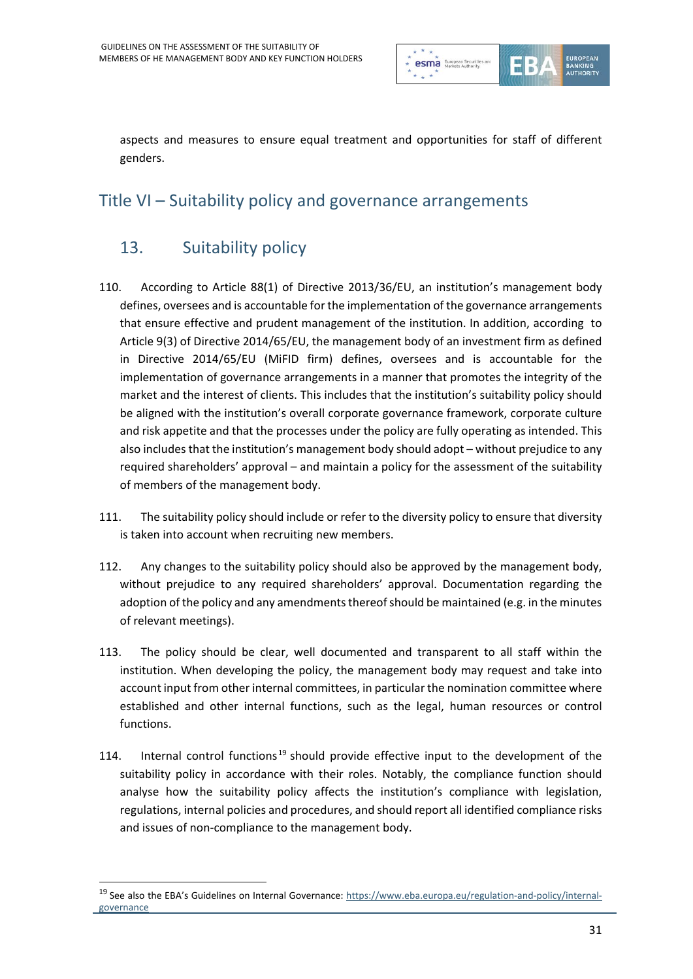

aspects and measures to ensure equal treatment and opportunities for staff of different genders.

### Title VI – Suitability policy and governance arrangements

### 13. Suitability policy

- 110. According to Article 88(1) of Directive 2013/36/EU, an institution's management body defines, oversees and is accountable for the implementation of the governance arrangements that ensure effective and prudent management of the institution. In addition, according to Article 9(3) of Directive 2014/65/EU, the management body of an investment firm as defined in Directive 2014/65/EU (MiFID firm) defines, oversees and is accountable for the implementation of governance arrangements in a manner that promotes the integrity of the market and the interest of clients. This includes that the institution's suitability policy should be aligned with the institution's overall corporate governance framework, corporate culture and risk appetite and that the processes under the policy are fully operating as intended. This also includes that the institution's management body should adopt – without prejudice to any required shareholders' approval – and maintain a policy for the assessment of the suitability of members of the management body.
- 111. The suitability policy should include or refer to the diversity policy to ensure that diversity is taken into account when recruiting new members.
- 112. Any changes to the suitability policy should also be approved by the management body, without prejudice to any required shareholders' approval. Documentation regarding the adoption of the policy and any amendments thereof should be maintained (e.g. in the minutes of relevant meetings).
- 113. The policy should be clear, well documented and transparent to all staff within the institution. When developing the policy, the management body may request and take into account input from other internal committees, in particular the nomination committee where established and other internal functions, such as the legal, human resources or control functions.
- 114. Internal control functions<sup>[19](#page-30-0)</sup> should provide effective input to the development of the suitability policy in accordance with their roles. Notably, the compliance function should analyse how the suitability policy affects the institution's compliance with legislation, regulations, internal policies and procedures, and should report all identified compliance risks and issues of non-compliance to the management body.

<span id="page-30-0"></span><sup>&</sup>lt;sup>19</sup> See also the EBA's Guidelines on Internal Governance[: https://www.eba.europa.eu/regulation-and-policy/internal](https://www.eba.europa.eu/regulation-and-policy/internal-governance)[governance](https://www.eba.europa.eu/regulation-and-policy/internal-governance)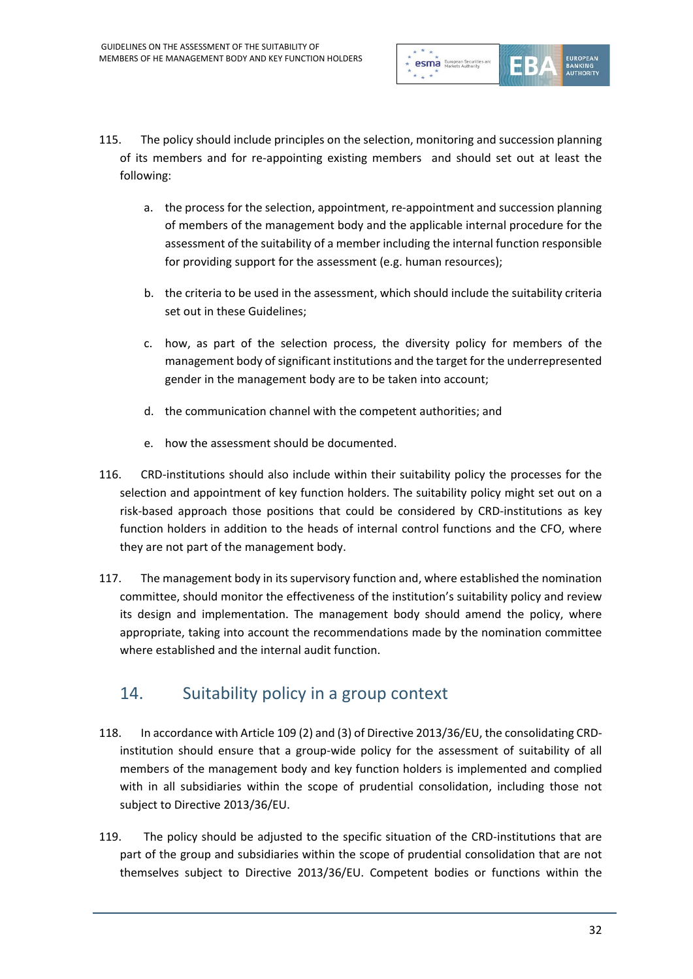

- 115. The policy should include principles on the selection, monitoring and succession planning of its members and for re-appointing existing members and should set out at least the following:
	- a. the process for the selection, appointment, re-appointment and succession planning of members of the management body and the applicable internal procedure for the assessment of the suitability of a member including the internal function responsible for providing support for the assessment (e.g. human resources);
	- b. the criteria to be used in the assessment, which should include the suitability criteria set out in these Guidelines;
	- c. how, as part of the selection process, the diversity policy for members of the management body of significant institutions and the target for the underrepresented gender in the management body are to be taken into account;
	- d. the communication channel with the competent authorities; and
	- e. how the assessment should be documented.
- 116. CRD-institutions should also include within their suitability policy the processes for the selection and appointment of key function holders. The suitability policy might set out on a risk-based approach those positions that could be considered by CRD-institutions as key function holders in addition to the heads of internal control functions and the CFO, where they are not part of the management body.
- 117. The management body in its supervisory function and, where established the nomination committee, should monitor the effectiveness of the institution's suitability policy and review its design and implementation. The management body should amend the policy, where appropriate, taking into account the recommendations made by the nomination committee where established and the internal audit function.

#### 14. Suitability policy in a group context

- 118. In accordance with Article 109 (2) and (3) of Directive 2013/36/EU, the consolidating CRDinstitution should ensure that a group-wide policy for the assessment of suitability of all members of the management body and key function holders is implemented and complied with in all subsidiaries within the scope of prudential consolidation, including those not subject to Directive 2013/36/EU.
- 119. The policy should be adjusted to the specific situation of the CRD-institutions that are part of the group and subsidiaries within the scope of prudential consolidation that are not themselves subject to Directive 2013/36/EU. Competent bodies or functions within the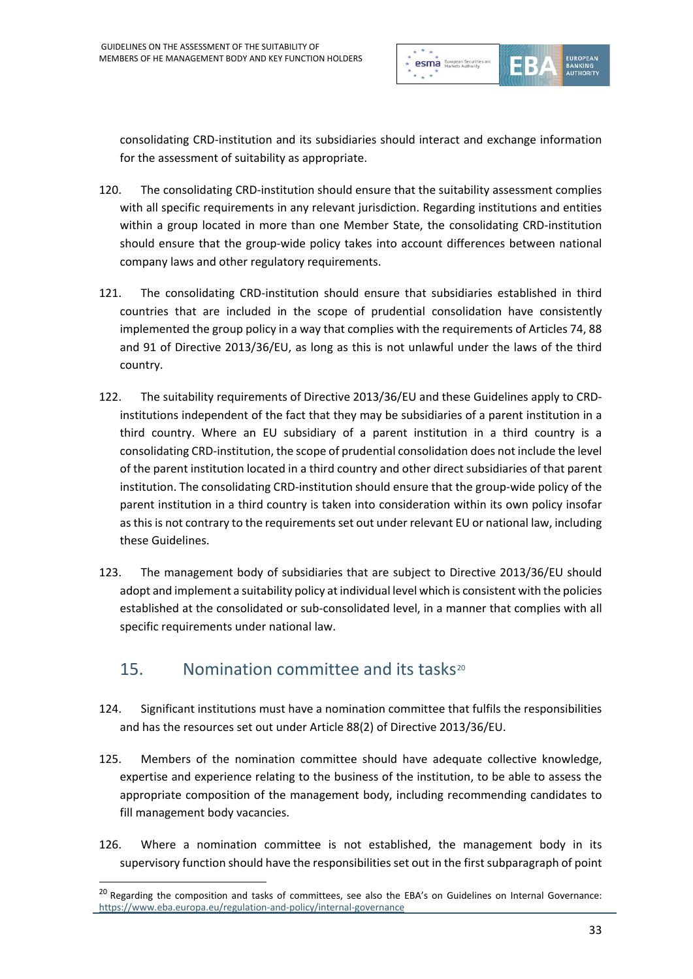

consolidating CRD-institution and its subsidiaries should interact and exchange information for the assessment of suitability as appropriate.

- 120. The consolidating CRD-institution should ensure that the suitability assessment complies with all specific requirements in any relevant jurisdiction. Regarding institutions and entities within a group located in more than one Member State, the consolidating CRD-institution should ensure that the group-wide policy takes into account differences between national company laws and other regulatory requirements.
- 121. The consolidating CRD-institution should ensure that subsidiaries established in third countries that are included in the scope of prudential consolidation have consistently implemented the group policy in a way that complies with the requirements of Articles 74, 88 and 91 of Directive 2013/36/EU, as long as this is not unlawful under the laws of the third country.
- 122. The suitability requirements of Directive 2013/36/EU and these Guidelines apply to CRDinstitutions independent of the fact that they may be subsidiaries of a parent institution in a third country. Where an EU subsidiary of a parent institution in a third country is a consolidating CRD-institution, the scope of prudential consolidation does not include the level of the parent institution located in a third country and other direct subsidiaries of that parent institution. The consolidating CRD-institution should ensure that the group-wide policy of the parent institution in a third country is taken into consideration within its own policy insofar as this is not contrary to the requirements set out under relevant EU or national law, including these Guidelines.
- 123. The management body of subsidiaries that are subject to Directive 2013/36/EU should adopt and implement a suitability policy at individual level which is consistent with the policies established at the consolidated or sub-consolidated level, in a manner that complies with all specific requirements under national law.

#### 15. Nomination committee and its tasks<sup>[20](#page-32-0)</sup>

- 124. Significant institutions must have a nomination committee that fulfils the responsibilities and has the resources set out under Article 88(2) of Directive 2013/36/EU.
- 125. Members of the nomination committee should have adequate collective knowledge, expertise and experience relating to the business of the institution, to be able to assess the appropriate composition of the management body, including recommending candidates to fill management body vacancies.
- 126. Where a nomination committee is not established, the management body in its supervisory function should have the responsibilities set out in the first subparagraph of point

<span id="page-32-0"></span><sup>&</sup>lt;sup>20</sup> Regarding the composition and tasks of committees, see also the EBA's on Guidelines on Internal Governance: <https://www.eba.europa.eu/regulation-and-policy/internal-governance>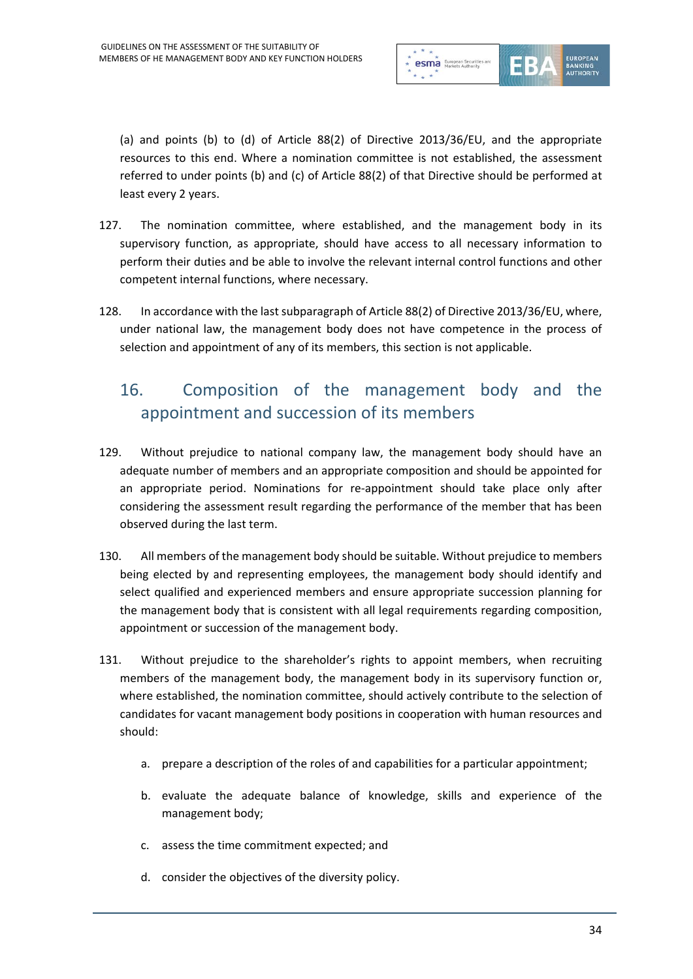

(a) and points (b) to (d) of Article 88(2) of Directive 2013/36/EU, and the appropriate resources to this end. Where a nomination committee is not established, the assessment referred to under points (b) and (c) of Article 88(2) of that Directive should be performed at least every 2 years.

- 127. The nomination committee, where established, and the management body in its supervisory function, as appropriate, should have access to all necessary information to perform their duties and be able to involve the relevant internal control functions and other competent internal functions, where necessary.
- 128. In accordance with the last subparagraph of Article 88(2) of Directive 2013/36/EU, where, under national law, the management body does not have competence in the process of selection and appointment of any of its members, this section is not applicable.

### 16. Composition of the management body and the appointment and succession of its members

- 129. Without prejudice to national company law, the management body should have an adequate number of members and an appropriate composition and should be appointed for an appropriate period. Nominations for re-appointment should take place only after considering the assessment result regarding the performance of the member that has been observed during the last term.
- 130. All members of the management body should be suitable. Without prejudice to members being elected by and representing employees, the management body should identify and select qualified and experienced members and ensure appropriate succession planning for the management body that is consistent with all legal requirements regarding composition, appointment or succession of the management body.
- 131. Without prejudice to the shareholder's rights to appoint members, when recruiting members of the management body, the management body in its supervisory function or, where established, the nomination committee, should actively contribute to the selection of candidates for vacant management body positions in cooperation with human resources and should:
	- a. prepare a description of the roles of and capabilities for a particular appointment;
	- b. evaluate the adequate balance of knowledge, skills and experience of the management body;
	- c. assess the time commitment expected; and
	- d. consider the objectives of the diversity policy.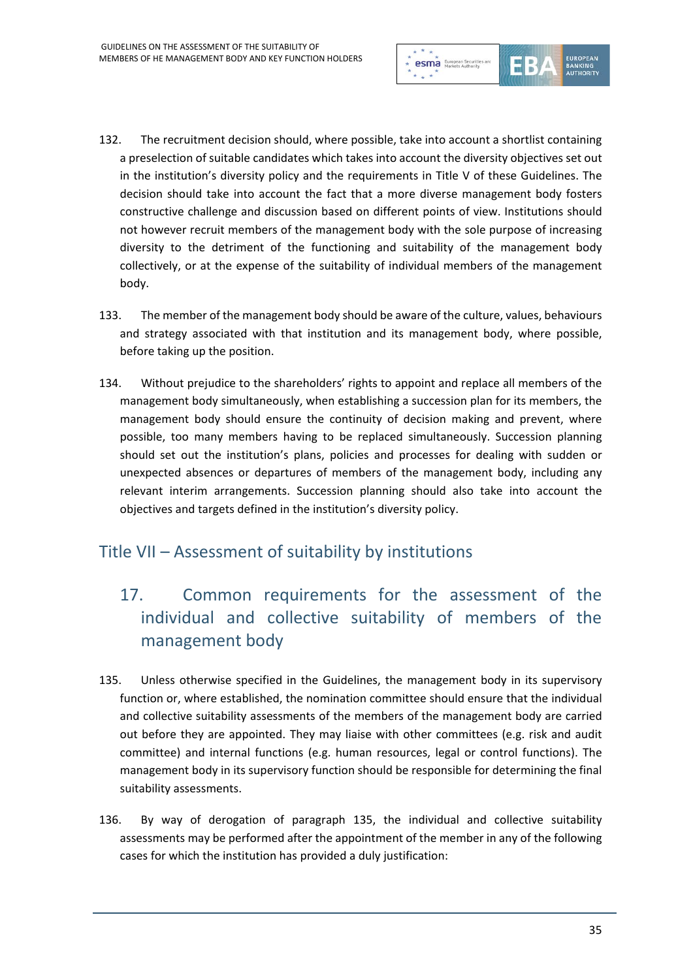

- 132. The recruitment decision should, where possible, take into account a shortlist containing a preselection of suitable candidates which takes into account the diversity objectives set out in the institution's diversity policy and the requirements in Title V of these Guidelines. The decision should take into account the fact that a more diverse management body fosters constructive challenge and discussion based on different points of view. Institutions should not however recruit members of the management body with the sole purpose of increasing diversity to the detriment of the functioning and suitability of the management body collectively, or at the expense of the suitability of individual members of the management body.
- 133. The member of the management body should be aware of the culture, values, behaviours and strategy associated with that institution and its management body, where possible, before taking up the position.
- 134. Without prejudice to the shareholders' rights to appoint and replace all members of the management body simultaneously, when establishing a succession plan for its members, the management body should ensure the continuity of decision making and prevent, where possible, too many members having to be replaced simultaneously. Succession planning should set out the institution's plans, policies and processes for dealing with sudden or unexpected absences or departures of members of the management body, including any relevant interim arrangements. Succession planning should also take into account the objectives and targets defined in the institution's diversity policy.

#### Title VII – Assessment of suitability by institutions

- 17. Common requirements for the assessment of the individual and collective suitability of members of the management body
- 135. Unless otherwise specified in the Guidelines, the management body in its supervisory function or, where established, the nomination committee should ensure that the individual and collective suitability assessments of the members of the management body are carried out before they are appointed. They may liaise with other committees (e.g. risk and audit committee) and internal functions (e.g. human resources, legal or control functions). The management body in its supervisory function should be responsible for determining the final suitability assessments.
- 136. By way of derogation of paragraph 135, the individual and collective suitability assessments may be performed after the appointment of the member in any of the following cases for which the institution has provided a duly justification: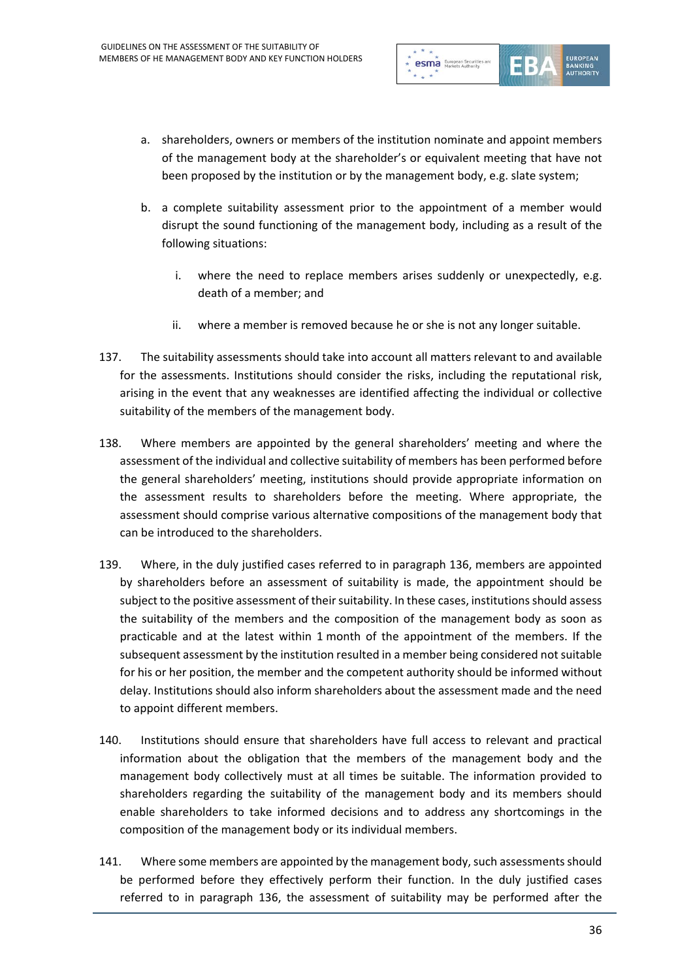

- a. shareholders, owners or members of the institution nominate and appoint members of the management body at the shareholder's or equivalent meeting that have not been proposed by the institution or by the management body, e.g. slate system;
- b. a complete suitability assessment prior to the appointment of a member would disrupt the sound functioning of the management body, including as a result of the following situations:
	- i. where the need to replace members arises suddenly or unexpectedly, e.g. death of a member; and
	- ii. where a member is removed because he or she is not any longer suitable.
- 137. The suitability assessments should take into account all matters relevant to and available for the assessments. Institutions should consider the risks, including the reputational risk, arising in the event that any weaknesses are identified affecting the individual or collective suitability of the members of the management body.
- 138. Where members are appointed by the general shareholders' meeting and where the assessment of the individual and collective suitability of members has been performed before the general shareholders' meeting, institutions should provide appropriate information on the assessment results to shareholders before the meeting. Where appropriate, the assessment should comprise various alternative compositions of the management body that can be introduced to the shareholders.
- 139. Where, in the duly justified cases referred to in paragraph 136, members are appointed by shareholders before an assessment of suitability is made, the appointment should be subject to the positive assessment of their suitability. In these cases, institutions should assess the suitability of the members and the composition of the management body as soon as practicable and at the latest within 1 month of the appointment of the members. If the subsequent assessment by the institution resulted in a member being considered not suitable for his or her position, the member and the competent authority should be informed without delay. Institutions should also inform shareholders about the assessment made and the need to appoint different members.
- 140. Institutions should ensure that shareholders have full access to relevant and practical information about the obligation that the members of the management body and the management body collectively must at all times be suitable. The information provided to shareholders regarding the suitability of the management body and its members should enable shareholders to take informed decisions and to address any shortcomings in the composition of the management body or its individual members.
- 141. Where some members are appointed by the management body, such assessments should be performed before they effectively perform their function. In the duly justified cases referred to in paragraph 136, the assessment of suitability may be performed after the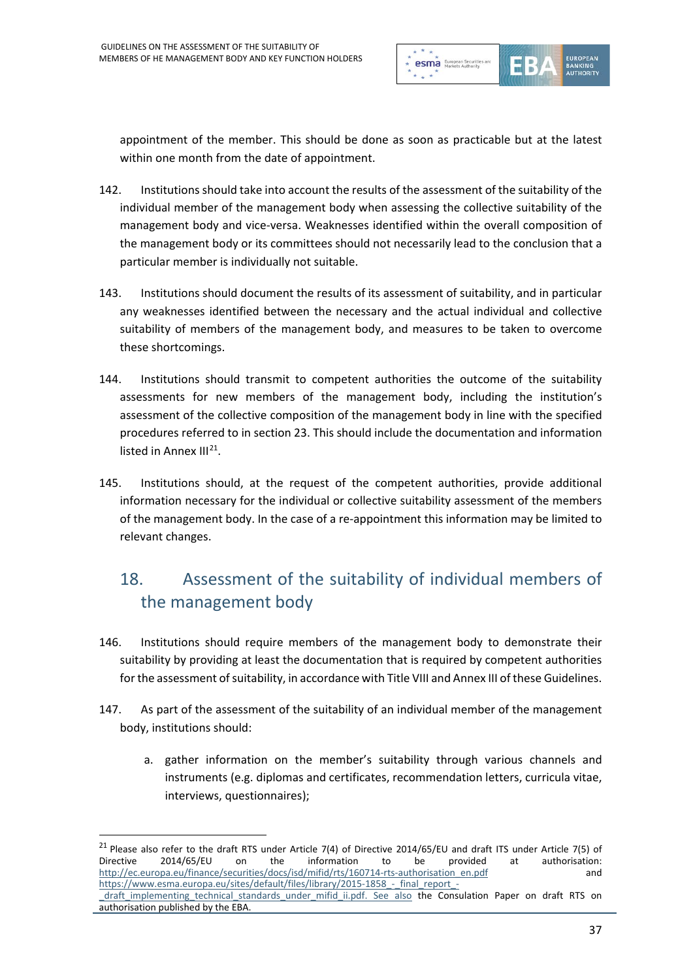

appointment of the member. This should be done as soon as practicable but at the latest within one month from the date of appointment.

- 142. Institutions should take into account the results of the assessment of the suitability of the individual member of the management body when assessing the collective suitability of the management body and vice-versa. Weaknesses identified within the overall composition of the management body or its committees should not necessarily lead to the conclusion that a particular member is individually not suitable.
- 143. Institutions should document the results of its assessment of suitability, and in particular any weaknesses identified between the necessary and the actual individual and collective suitability of members of the management body, and measures to be taken to overcome these shortcomings.
- 144. Institutions should transmit to competent authorities the outcome of the suitability assessments for new members of the management body, including the institution's assessment of the collective composition of the management body in line with the specified procedures referred to in section 23. This should include the documentation and information listed in Annex  $III^{21}$  $III^{21}$  $III^{21}$ .
- 145. Institutions should, at the request of the competent authorities, provide additional information necessary for the individual or collective suitability assessment of the members of the management body. In the case of a re-appointment this information may be limited to relevant changes.

# 18. Assessment of the suitability of individual members of the management body

- 146. Institutions should require members of the management body to demonstrate their suitability by providing at least the documentation that is required by competent authorities for the assessment of suitability, in accordance with Title VIII and Annex III of these Guidelines.
- 147. As part of the assessment of the suitability of an individual member of the management body, institutions should:
	- a. gather information on the member's suitability through various channels and instruments (e.g. diplomas and certificates, recommendation letters, curricula vitae, interviews, questionnaires);

<span id="page-36-0"></span><sup>&</sup>lt;sup>21</sup> Please also refer to the draft RTS under Article 7(4) of Directive 2014/65/EU and draft ITS under Article 7(5) of Directive 2014/65/EU on the information to be provided at authorisation: [http://ec.europa.eu/finance/securities/docs/isd/mifid/rts/160714-rts-authorisation\\_en.pdf](http://ec.europa.eu/finance/securities/docs/isd/mifid/rts/160714-rts-authorisation_en.pdf) and https://www.esma.europa.eu/sites/default/files/library/2015-1858 - final\_report\_-

draft implementing technical standards under mifid ii.pdf. See also the Consulation Paper on draft RTS on authorisation published by the EBA.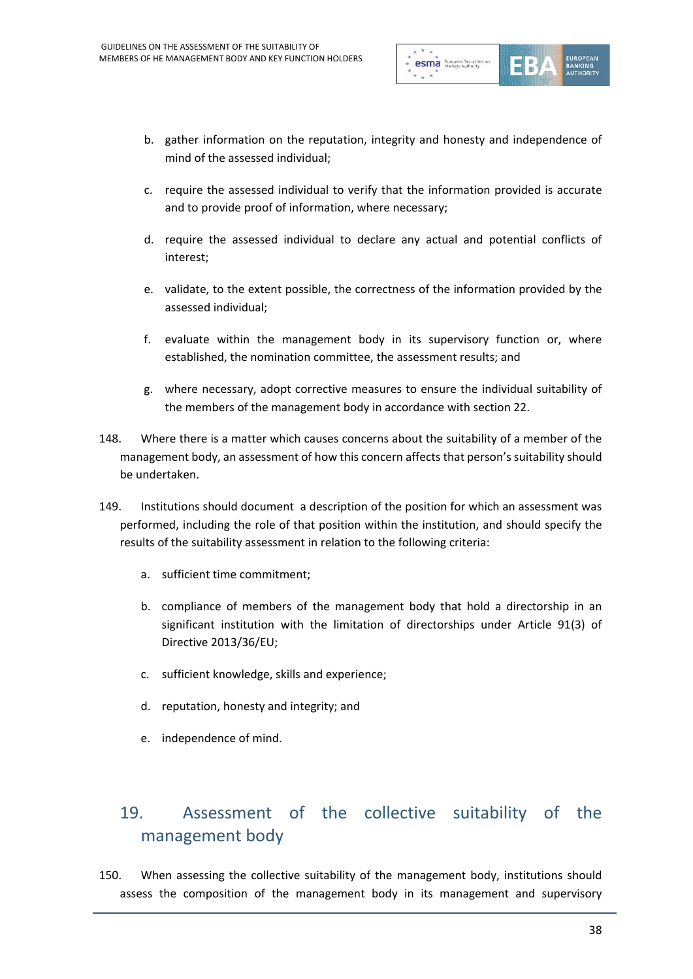

- b. gather information on the reputation, integrity and honesty and independence of mind of the assessed individual;
- c. require the assessed individual to verify that the information provided is accurate and to provide proof of information, where necessary;
- d. require the assessed individual to declare any actual and potential conflicts of interest;
- e. validate, to the extent possible, the correctness of the information provided by the assessed individual;
- f. evaluate within the management body in its supervisory function or, where established, the nomination committee, the assessment results; and
- g. where necessary, adopt corrective measures to ensure the individual suitability of the members of the management body in accordance with section 22.
- 148. Where there is a matter which causes concerns about the suitability of a member of the management body, an assessment of how this concern affects that person's suitability should be undertaken.
- 149. Institutions should document a description of the position for which an assessment was performed, including the role of that position within the institution, and should specify the results of the suitability assessment in relation to the following criteria:
	- a. sufficient time commitment;
	- b. compliance of members of the management body that hold a directorship in an significant institution with the limitation of directorships under Article 91(3) of Directive 2013/36/EU;
	- c. sufficient knowledge, skills and experience;
	- d. reputation, honesty and integrity; and
	- e. independence of mind.

### 19. Assessment of the collective suitability of the management body

150. When assessing the collective suitability of the management body, institutions should assess the composition of the management body in its management and supervisory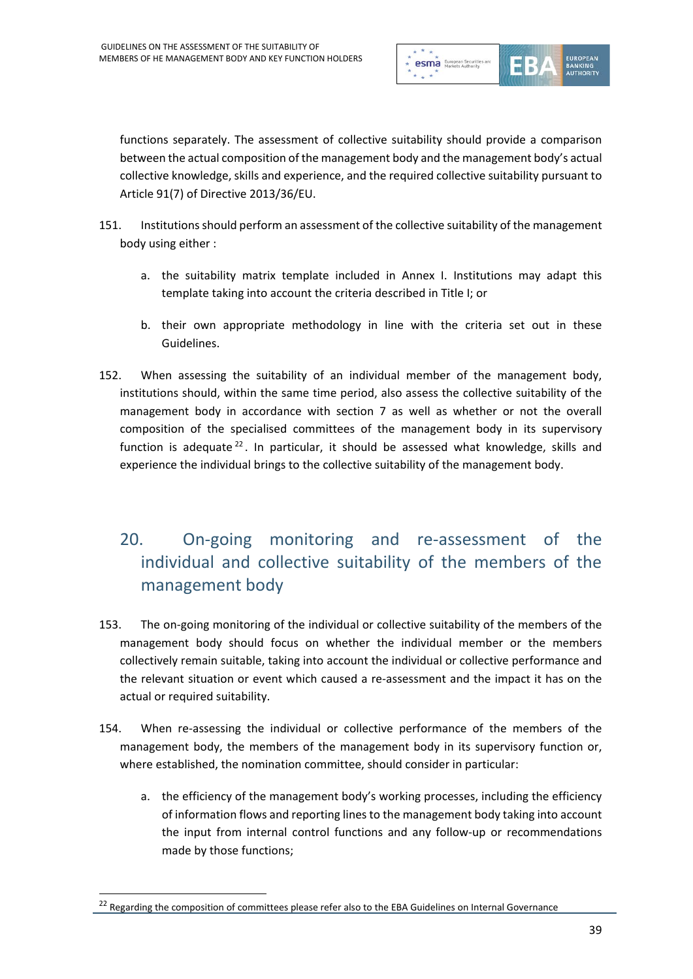

functions separately. The assessment of collective suitability should provide a comparison between the actual composition of the management body and the management body's actual collective knowledge, skills and experience, and the required collective suitability pursuant to Article 91(7) of Directive 2013/36/EU.

- 151. Institutions should perform an assessment of the collective suitability of the management body using either :
	- a. the suitability matrix template included in Annex I. Institutions may adapt this template taking into account the criteria described in Title I; or
	- b. their own appropriate methodology in line with the criteria set out in these Guidelines.
- 152. When assessing the suitability of an individual member of the management body, institutions should, within the same time period, also assess the collective suitability of the management body in accordance with section 7 as well as whether or not the overall composition of the specialised committees of the management body in its supervisory function is adequate  $^{22}$  $^{22}$  $^{22}$ . In particular, it should be assessed what knowledge, skills and experience the individual brings to the collective suitability of the management body.

## 20. On-going monitoring and re-assessment of the individual and collective suitability of the members of the management body

- 153. The on-going monitoring of the individual or collective suitability of the members of the management body should focus on whether the individual member or the members collectively remain suitable, taking into account the individual or collective performance and the relevant situation or event which caused a re-assessment and the impact it has on the actual or required suitability.
- 154. When re-assessing the individual or collective performance of the members of the management body, the members of the management body in its supervisory function or, where established, the nomination committee, should consider in particular:
	- a. the efficiency of the management body's working processes, including the efficiency of information flows and reporting lines to the management body taking into account the input from internal control functions and any follow-up or recommendations made by those functions;

<span id="page-38-0"></span><sup>&</sup>lt;sup>22</sup> Regarding the composition of committees please refer also to the EBA Guidelines on Internal Governance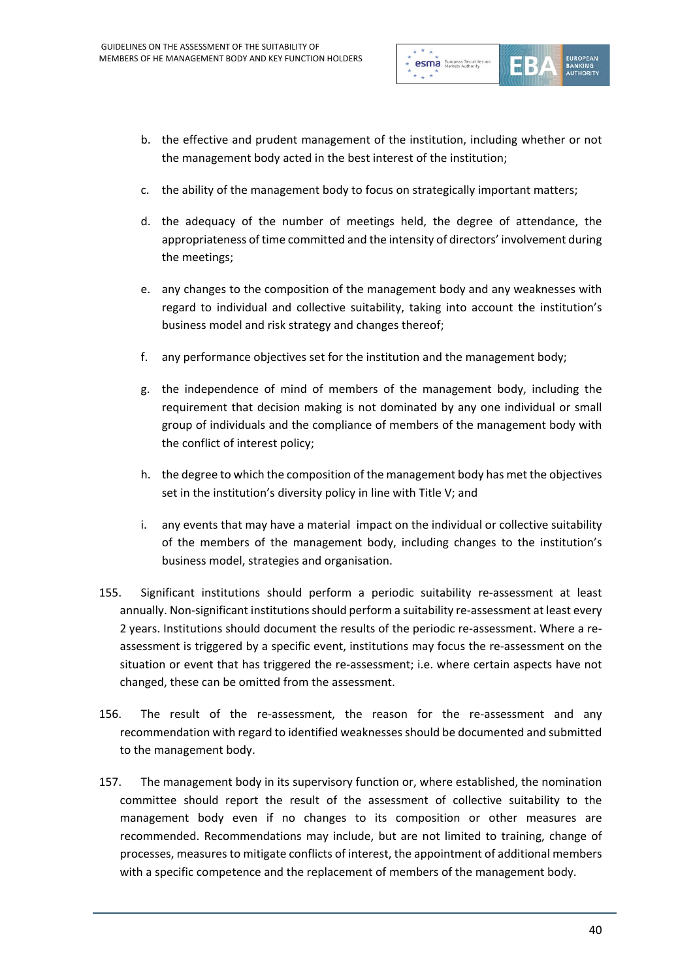

- b. the effective and prudent management of the institution, including whether or not the management body acted in the best interest of the institution;
- c. the ability of the management body to focus on strategically important matters;
- d. the adequacy of the number of meetings held, the degree of attendance, the appropriateness of time committed and the intensity of directors' involvement during the meetings;
- e. any changes to the composition of the management body and any weaknesses with regard to individual and collective suitability, taking into account the institution's business model and risk strategy and changes thereof;
- f. any performance objectives set for the institution and the management body;
- g. the independence of mind of members of the management body, including the requirement that decision making is not dominated by any one individual or small group of individuals and the compliance of members of the management body with the conflict of interest policy;
- h. the degree to which the composition of the management body has met the objectives set in the institution's diversity policy in line with Title V; and
- i. any events that may have a material impact on the individual or collective suitability of the members of the management body, including changes to the institution's business model, strategies and organisation.
- 155. Significant institutions should perform a periodic suitability re-assessment at least annually. Non-significant institutions should perform a suitability re-assessment at least every 2 years. Institutions should document the results of the periodic re-assessment. Where a reassessment is triggered by a specific event, institutions may focus the re-assessment on the situation or event that has triggered the re-assessment; i.e. where certain aspects have not changed, these can be omitted from the assessment.
- 156. The result of the re-assessment, the reason for the re-assessment and any recommendation with regard to identified weaknesses should be documented and submitted to the management body.
- 157. The management body in its supervisory function or, where established, the nomination committee should report the result of the assessment of collective suitability to the management body even if no changes to its composition or other measures are recommended. Recommendations may include, but are not limited to training, change of processes, measures to mitigate conflicts of interest, the appointment of additional members with a specific competence and the replacement of members of the management body.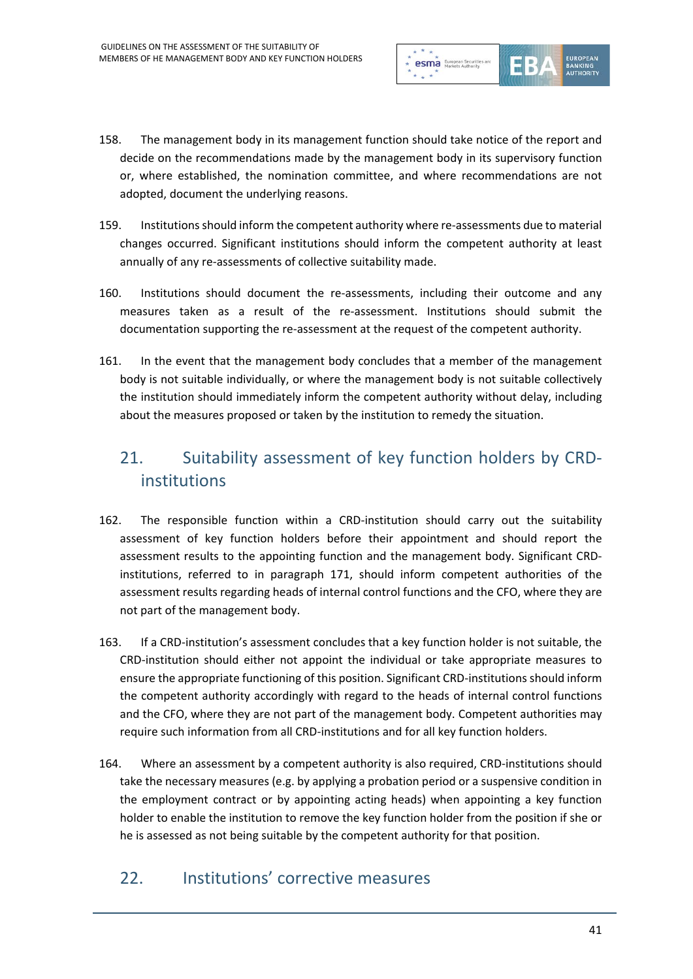

- 158. The management body in its management function should take notice of the report and decide on the recommendations made by the management body in its supervisory function or, where established, the nomination committee, and where recommendations are not adopted, document the underlying reasons.
- 159. Institutions should inform the competent authority where re-assessments due to material changes occurred. Significant institutions should inform the competent authority at least annually of any re-assessments of collective suitability made.
- 160. Institutions should document the re-assessments, including their outcome and any measures taken as a result of the re-assessment. Institutions should submit the documentation supporting the re-assessment at the request of the competent authority.
- 161. In the event that the management body concludes that a member of the management body is not suitable individually, or where the management body is not suitable collectively the institution should immediately inform the competent authority without delay, including about the measures proposed or taken by the institution to remedy the situation.

## 21. Suitability assessment of key function holders by CRDinstitutions

- 162. The responsible function within a CRD-institution should carry out the suitability assessment of key function holders before their appointment and should report the assessment results to the appointing function and the management body. Significant CRDinstitutions, referred to in paragraph 171, should inform competent authorities of the assessment results regarding heads of internal control functions and the CFO, where they are not part of the management body.
- 163. If a CRD-institution's assessment concludes that a key function holder is not suitable, the CRD-institution should either not appoint the individual or take appropriate measures to ensure the appropriate functioning of this position. Significant CRD-institutions should inform the competent authority accordingly with regard to the heads of internal control functions and the CFO, where they are not part of the management body. Competent authorities may require such information from all CRD-institutions and for all key function holders.
- 164. Where an assessment by a competent authority is also required, CRD-institutions should take the necessary measures (e.g. by applying a probation period or a suspensive condition in the employment contract or by appointing acting heads) when appointing a key function holder to enable the institution to remove the key function holder from the position if she or he is assessed as not being suitable by the competent authority for that position.

### 22. Institutions' corrective measures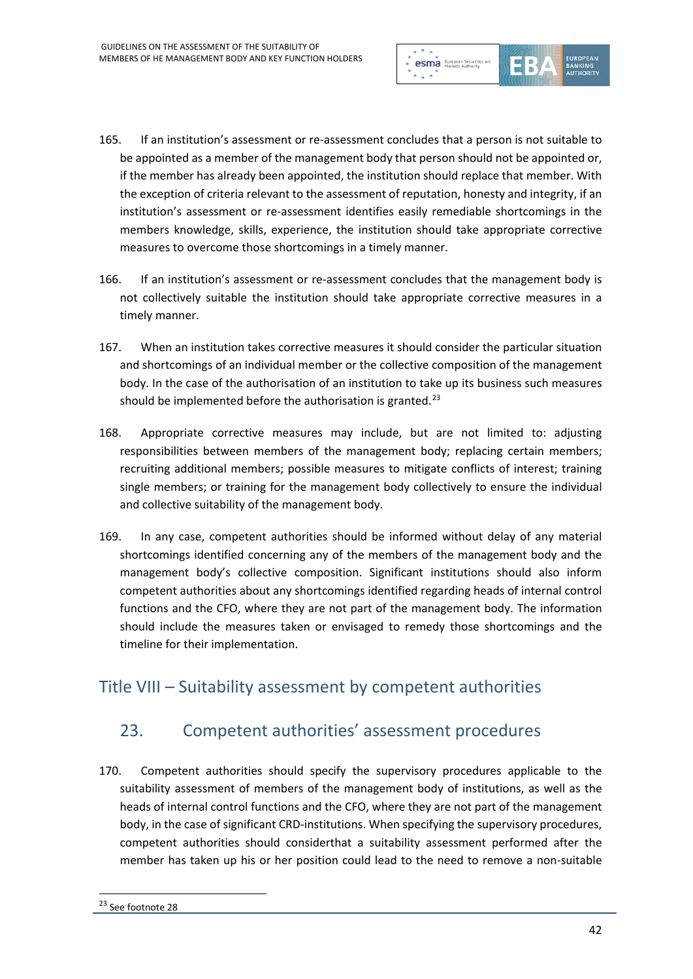

- 165. If an institution's assessment or re-assessment concludes that a person is not suitable to be appointed as a member of the management body that person should not be appointed or, if the member has already been appointed, the institution should replace that member. With the exception of criteria relevant to the assessment of reputation, honesty and integrity, if an institution's assessment or re-assessment identifies easily remediable shortcomings in the members knowledge, skills, experience, the institution should take appropriate corrective measures to overcome those shortcomings in a timely manner.
- 166. If an institution's assessment or re-assessment concludes that the management body is not collectively suitable the institution should take appropriate corrective measures in a timely manner.
- 167. When an institution takes corrective measures it should consider the particular situation and shortcomings of an individual member or the collective composition of the management body. In the case of the authorisation of an institution to take up its business such measures should be implemented before the authorisation is granted.<sup>[23](#page-41-0)</sup>
- 168. Appropriate corrective measures may include, but are not limited to: adjusting responsibilities between members of the management body; replacing certain members; recruiting additional members; possible measures to mitigate conflicts of interest; training single members; or training for the management body collectively to ensure the individual and collective suitability of the management body.
- 169. In any case, competent authorities should be informed without delay of any material shortcomings identified concerning any of the members of the management body and the management body's collective composition. Significant institutions should also inform competent authorities about any shortcomings identified regarding heads of internal control functions and the CFO, where they are not part of the management body. The information should include the measures taken or envisaged to remedy those shortcomings and the timeline for their implementation.

### Title VIII – Suitability assessment by competent authorities

#### 23. Competent authorities' assessment procedures

<span id="page-41-0"></span>170. Competent authorities should specify the supervisory procedures applicable to the suitability assessment of members of the management body of institutions, as well as the heads of internal control functions and the CFO, where they are not part of the management body, in the case of significant CRD-institutions. When specifying the supervisory procedures, competent authorities should considerthat a suitability assessment performed after the member has taken up his or her position could lead to the need to remove a non-suitable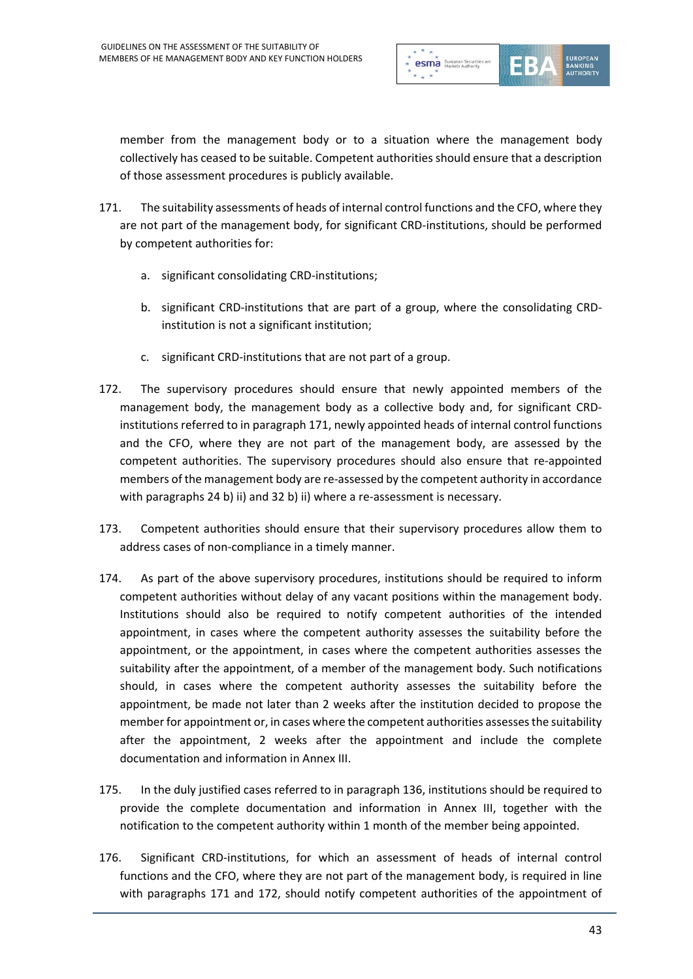

member from the management body or to a situation where the management body collectively has ceased to be suitable. Competent authorities should ensure that a description of those assessment procedures is publicly available.

- 171. The suitability assessments of heads of internal control functions and the CFO, where they are not part of the management body, for significant CRD-institutions, should be performed by competent authorities for:
	- a. significant consolidating CRD-institutions;
	- b. significant CRD-institutions that are part of a group, where the consolidating CRDinstitution is not a significant institution;
	- c. significant CRD-institutions that are not part of a group.
- 172. The supervisory procedures should ensure that newly appointed members of the management body, the management body as a collective body and, for significant CRDinstitutions referred to in paragraph 171, newly appointed heads of internal control functions and the CFO, where they are not part of the management body, are assessed by the competent authorities. The supervisory procedures should also ensure that re-appointed members of the management body are re-assessed by the competent authority in accordance with paragraphs 24 b) ii) and 32 b) ii) where a re-assessment is necessary.
- 173. Competent authorities should ensure that their supervisory procedures allow them to address cases of non-compliance in a timely manner.
- 174. As part of the above supervisory procedures, institutions should be required to inform competent authorities without delay of any vacant positions within the management body. Institutions should also be required to notify competent authorities of the intended appointment, in cases where the competent authority assesses the suitability before the appointment, or the appointment, in cases where the competent authorities assesses the suitability after the appointment, of a member of the management body. Such notifications should, in cases where the competent authority assesses the suitability before the appointment, be made not later than 2 weeks after the institution decided to propose the member for appointment or, in cases where the competent authorities assesses the suitability after the appointment, 2 weeks after the appointment and include the complete documentation and information in Annex III.
- 175. In the duly justified cases referred to in paragraph 136, institutions should be required to provide the complete documentation and information in Annex III, together with the notification to the competent authority within 1 month of the member being appointed.
- 176. Significant CRD-institutions, for which an assessment of heads of internal control functions and the CFO, where they are not part of the management body, is required in line with paragraphs 171 and 172, should notify competent authorities of the appointment of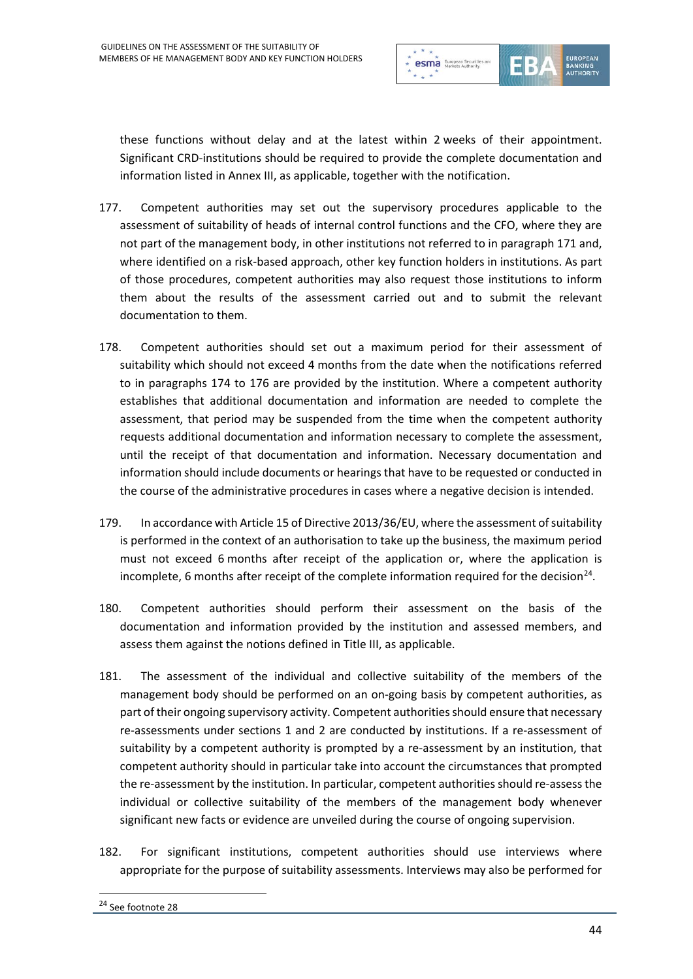

these functions without delay and at the latest within 2 weeks of their appointment. Significant CRD-institutions should be required to provide the complete documentation and information listed in Annex III, as applicable, together with the notification.

- 177. Competent authorities may set out the supervisory procedures applicable to the assessment of suitability of heads of internal control functions and the CFO, where they are not part of the management body, in other institutions not referred to in paragraph 171 and, where identified on a risk-based approach, other key function holders in institutions. As part of those procedures, competent authorities may also request those institutions to inform them about the results of the assessment carried out and to submit the relevant documentation to them.
- 178. Competent authorities should set out a maximum period for their assessment of suitability which should not exceed 4 months from the date when the notifications referred to in paragraphs 174 to 176 are provided by the institution. Where a competent authority establishes that additional documentation and information are needed to complete the assessment, that period may be suspended from the time when the competent authority requests additional documentation and information necessary to complete the assessment, until the receipt of that documentation and information. Necessary documentation and information should include documents or hearings that have to be requested or conducted in the course of the administrative procedures in cases where a negative decision is intended.
- 179. In accordance with Article 15 of Directive 2013/36/EU, where the assessment of suitability is performed in the context of an authorisation to take up the business, the maximum period must not exceed 6 months after receipt of the application or, where the application is incomplete, 6 months after receipt of the complete information required for the decision<sup>[24](#page-43-0)</sup>.
- 180. Competent authorities should perform their assessment on the basis of the documentation and information provided by the institution and assessed members, and assess them against the notions defined in Title III, as applicable.
- 181. The assessment of the individual and collective suitability of the members of the management body should be performed on an on-going basis by competent authorities, as part of their ongoing supervisory activity. Competent authorities should ensure that necessary re-assessments under sections 1 and 2 are conducted by institutions. If a re-assessment of suitability by a competent authority is prompted by a re-assessment by an institution, that competent authority should in particular take into account the circumstances that prompted the re-assessment by the institution. In particular, competent authorities should re-assess the individual or collective suitability of the members of the management body whenever significant new facts or evidence are unveiled during the course of ongoing supervision.
- <span id="page-43-0"></span>182. For significant institutions, competent authorities should use interviews where appropriate for the purpose of suitability assessments. Interviews may also be performed for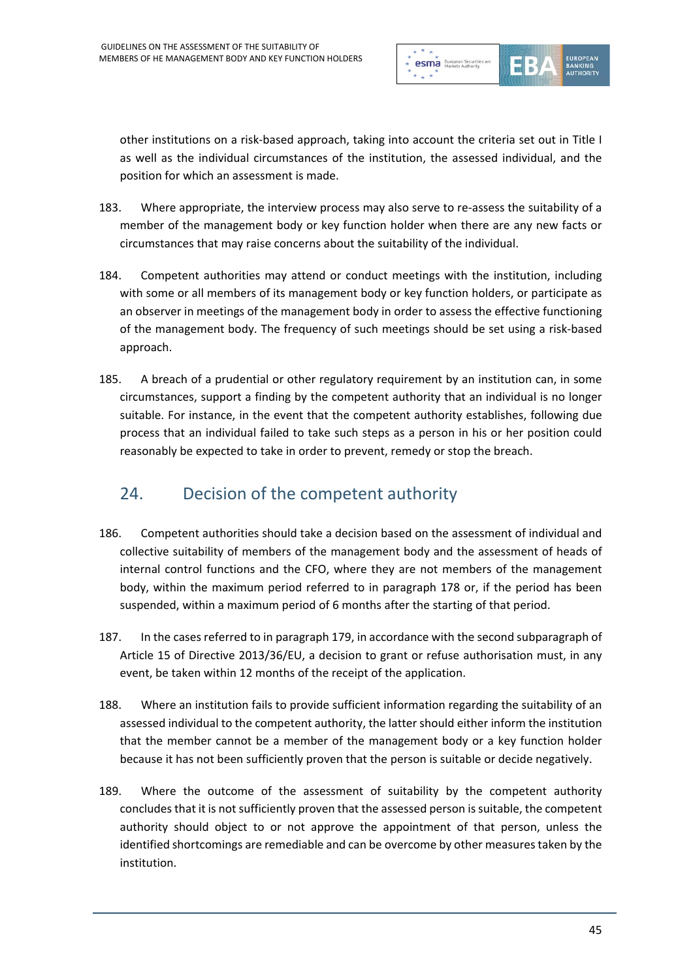

other institutions on a risk-based approach, taking into account the criteria set out in Title I as well as the individual circumstances of the institution, the assessed individual, and the position for which an assessment is made.

- 183. Where appropriate, the interview process may also serve to re-assess the suitability of a member of the management body or key function holder when there are any new facts or circumstances that may raise concerns about the suitability of the individual.
- 184. Competent authorities may attend or conduct meetings with the institution, including with some or all members of its management body or key function holders, or participate as an observer in meetings of the management body in order to assess the effective functioning of the management body. The frequency of such meetings should be set using a risk-based approach.
- 185. A breach of a prudential or other regulatory requirement by an institution can, in some circumstances, support a finding by the competent authority that an individual is no longer suitable. For instance, in the event that the competent authority establishes, following due process that an individual failed to take such steps as a person in his or her position could reasonably be expected to take in order to prevent, remedy or stop the breach.

### 24. Decision of the competent authority

- 186. Competent authorities should take a decision based on the assessment of individual and collective suitability of members of the management body and the assessment of heads of internal control functions and the CFO, where they are not members of the management body, within the maximum period referred to in paragraph 178 or, if the period has been suspended, within a maximum period of 6 months after the starting of that period.
- 187. In the cases referred to in paragraph 179, in accordance with the second subparagraph of Article 15 of Directive 2013/36/EU, a decision to grant or refuse authorisation must, in any event, be taken within 12 months of the receipt of the application.
- 188. Where an institution fails to provide sufficient information regarding the suitability of an assessed individual to the competent authority, the latter should either inform the institution that the member cannot be a member of the management body or a key function holder because it has not been sufficiently proven that the person is suitable or decide negatively.
- 189. Where the outcome of the assessment of suitability by the competent authority concludes that it is not sufficiently proven that the assessed person is suitable, the competent authority should object to or not approve the appointment of that person, unless the identified shortcomings are remediable and can be overcome by other measures taken by the institution.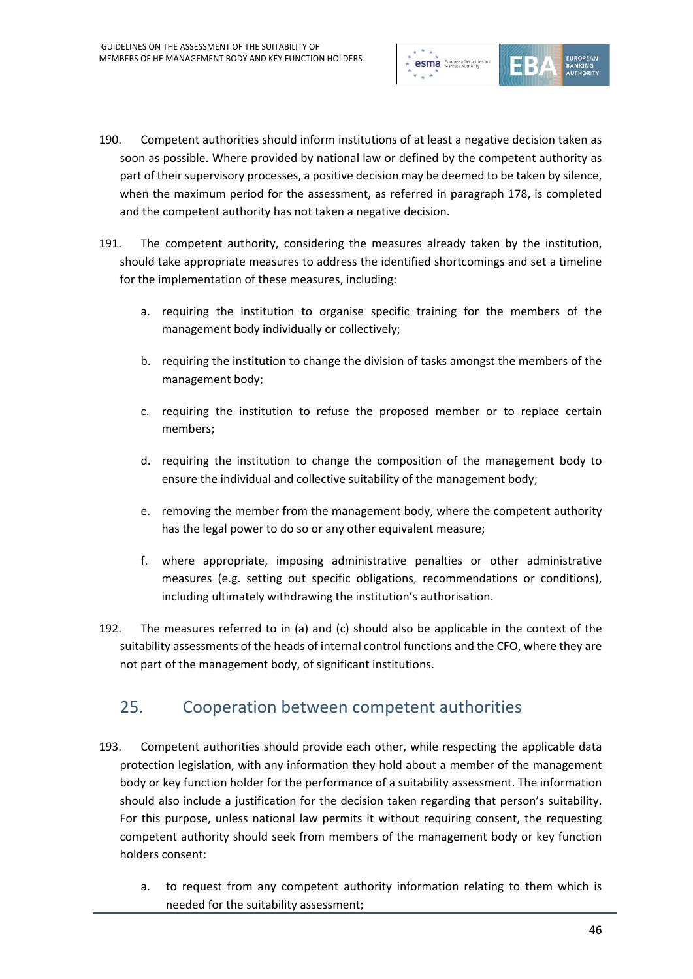

- 190. Competent authorities should inform institutions of at least a negative decision taken as soon as possible. Where provided by national law or defined by the competent authority as part of their supervisory processes, a positive decision may be deemed to be taken by silence, when the maximum period for the assessment, as referred in paragraph 178, is completed and the competent authority has not taken a negative decision.
- 191. The competent authority, considering the measures already taken by the institution, should take appropriate measures to address the identified shortcomings and set a timeline for the implementation of these measures, including:
	- a. requiring the institution to organise specific training for the members of the management body individually or collectively;
	- b. requiring the institution to change the division of tasks amongst the members of the management body;
	- c. requiring the institution to refuse the proposed member or to replace certain members;
	- d. requiring the institution to change the composition of the management body to ensure the individual and collective suitability of the management body;
	- e. removing the member from the management body, where the competent authority has the legal power to do so or any other equivalent measure;
	- f. where appropriate, imposing administrative penalties or other administrative measures (e.g. setting out specific obligations, recommendations or conditions), including ultimately withdrawing the institution's authorisation.
- 192. The measures referred to in (a) and (c) should also be applicable in the context of the suitability assessments of the heads of internal control functions and the CFO, where they are not part of the management body, of significant institutions.

#### 25. Cooperation between competent authorities

- 193. Competent authorities should provide each other, while respecting the applicable data protection legislation, with any information they hold about a member of the management body or key function holder for the performance of a suitability assessment. The information should also include a justification for the decision taken regarding that person's suitability. For this purpose, unless national law permits it without requiring consent, the requesting competent authority should seek from members of the management body or key function holders consent:
	- a. to request from any competent authority information relating to them which is needed for the suitability assessment;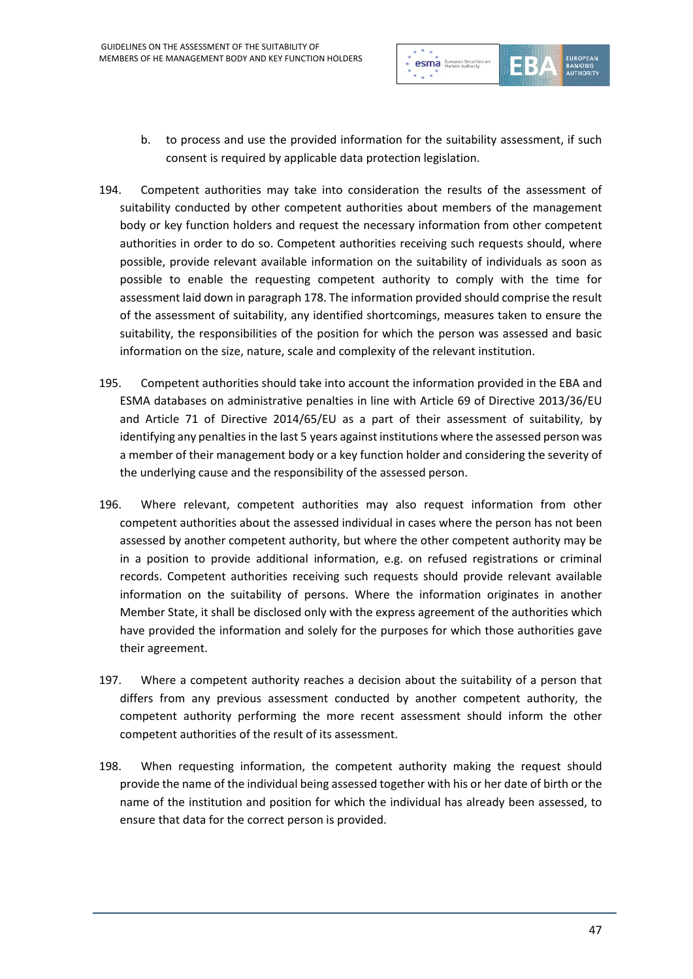

- b. to process and use the provided information for the suitability assessment, if such consent is required by applicable data protection legislation.
- 194. Competent authorities may take into consideration the results of the assessment of suitability conducted by other competent authorities about members of the management body or key function holders and request the necessary information from other competent authorities in order to do so. Competent authorities receiving such requests should, where possible, provide relevant available information on the suitability of individuals as soon as possible to enable the requesting competent authority to comply with the time for assessment laid down in paragraph 178. The information provided should comprise the result of the assessment of suitability, any identified shortcomings, measures taken to ensure the suitability, the responsibilities of the position for which the person was assessed and basic information on the size, nature, scale and complexity of the relevant institution.
- 195. Competent authorities should take into account the information provided in the EBA and ESMA databases on administrative penalties in line with Article 69 of Directive 2013/36/EU and Article 71 of Directive 2014/65/EU as a part of their assessment of suitability, by identifying any penalties in the last 5 years against institutions where the assessed person was a member of their management body or a key function holder and considering the severity of the underlying cause and the responsibility of the assessed person.
- 196. Where relevant, competent authorities may also request information from other competent authorities about the assessed individual in cases where the person has not been assessed by another competent authority, but where the other competent authority may be in a position to provide additional information, e.g. on refused registrations or criminal records. Competent authorities receiving such requests should provide relevant available information on the suitability of persons. Where the information originates in another Member State, it shall be disclosed only with the express agreement of the authorities which have provided the information and solely for the purposes for which those authorities gave their agreement.
- 197. Where a competent authority reaches a decision about the suitability of a person that differs from any previous assessment conducted by another competent authority, the competent authority performing the more recent assessment should inform the other competent authorities of the result of its assessment.
- 198. When requesting information, the competent authority making the request should provide the name of the individual being assessed together with his or her date of birth or the name of the institution and position for which the individual has already been assessed, to ensure that data for the correct person is provided.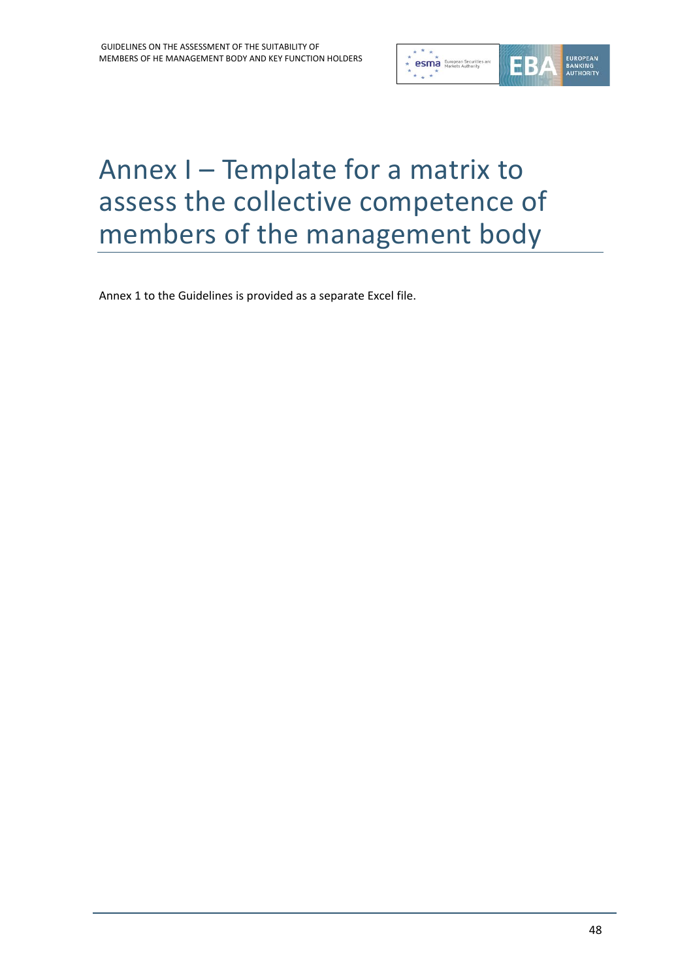

# Annex I – Template for a matrix to assess the collective competence of members of the management body

Annex 1 to the Guidelines is provided as a separate Excel file.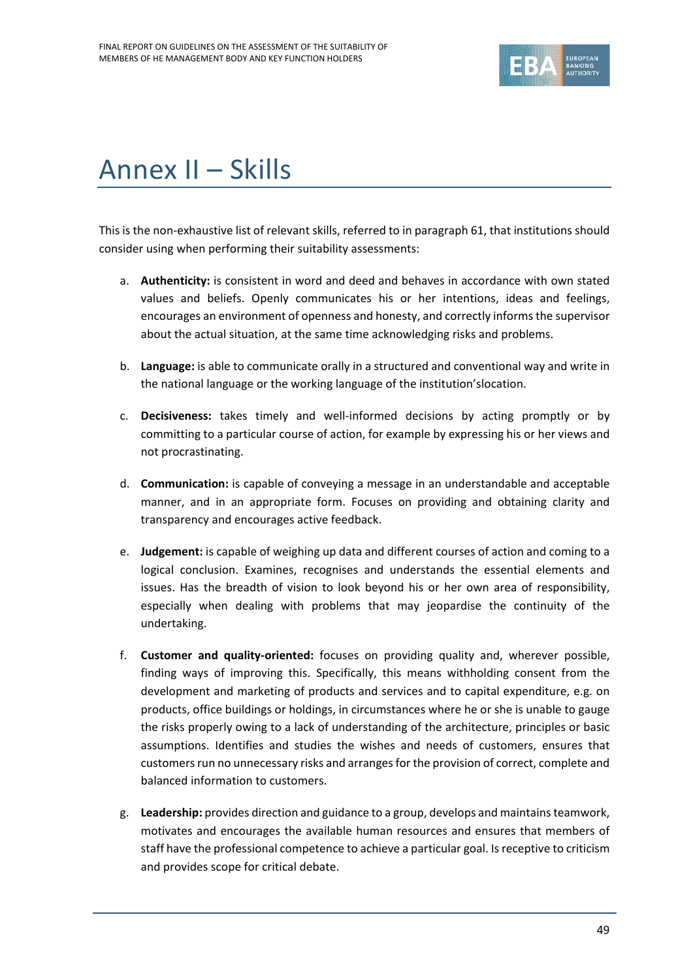

# Annex II – Skills

This is the non-exhaustive list of relevant skills, referred to in paragraph 61, that institutions should consider using when performing their suitability assessments:

- a. **Authenticity:** is consistent in word and deed and behaves in accordance with own stated values and beliefs. Openly communicates his or her intentions, ideas and feelings, encourages an environment of openness and honesty, and correctly informs the supervisor about the actual situation, at the same time acknowledging risks and problems.
- b. **Language:** is able to communicate orally in a structured and conventional way and write in the national language or the working language of the institution'slocation.
- c. **Decisiveness:** takes timely and well-informed decisions by acting promptly or by committing to a particular course of action, for example by expressing his or her views and not procrastinating.
- d. **Communication:** is capable of conveying a message in an understandable and acceptable manner, and in an appropriate form. Focuses on providing and obtaining clarity and transparency and encourages active feedback.
- e. **Judgement:** is capable of weighing up data and different courses of action and coming to a logical conclusion. Examines, recognises and understands the essential elements and issues. Has the breadth of vision to look beyond his or her own area of responsibility, especially when dealing with problems that may jeopardise the continuity of the undertaking.
- f. **Customer and quality-oriented:** focuses on providing quality and, wherever possible, finding ways of improving this. Specifically, this means withholding consent from the development and marketing of products and services and to capital expenditure, e.g. on products, office buildings or holdings, in circumstances where he or she is unable to gauge the risks properly owing to a lack of understanding of the architecture, principles or basic assumptions. Identifies and studies the wishes and needs of customers, ensures that customers run no unnecessary risks and arranges for the provision of correct, complete and balanced information to customers.
- g. **Leadership:** provides direction and guidance to a group, develops and maintains teamwork, motivates and encourages the available human resources and ensures that members of staff have the professional competence to achieve a particular goal. Is receptive to criticism and provides scope for critical debate.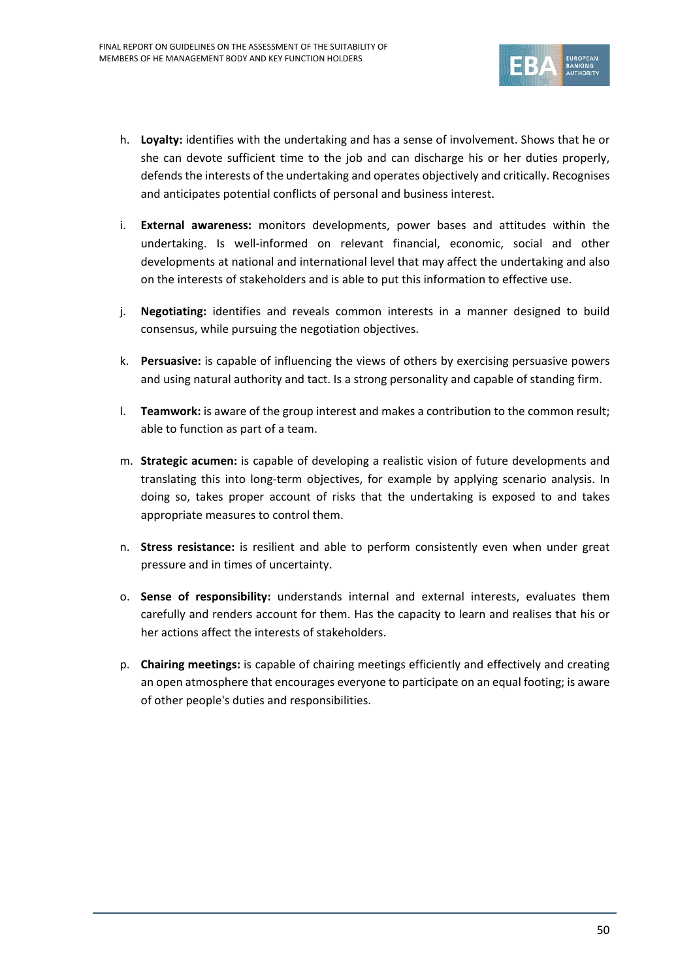

- h. **Loyalty:** identifies with the undertaking and has a sense of involvement. Shows that he or she can devote sufficient time to the job and can discharge his or her duties properly, defends the interests of the undertaking and operates objectively and critically. Recognises and anticipates potential conflicts of personal and business interest.
- i. **External awareness:** monitors developments, power bases and attitudes within the undertaking. Is well-informed on relevant financial, economic, social and other developments at national and international level that may affect the undertaking and also on the interests of stakeholders and is able to put this information to effective use.
- j. **Negotiating:** identifies and reveals common interests in a manner designed to build consensus, while pursuing the negotiation objectives.
- k. **Persuasive:** is capable of influencing the views of others by exercising persuasive powers and using natural authority and tact. Is a strong personality and capable of standing firm.
- l. **Teamwork:** is aware of the group interest and makes a contribution to the common result; able to function as part of a team.
- m. **Strategic acumen:** is capable of developing a realistic vision of future developments and translating this into long-term objectives, for example by applying scenario analysis. In doing so, takes proper account of risks that the undertaking is exposed to and takes appropriate measures to control them.
- n. **Stress resistance:** is resilient and able to perform consistently even when under great pressure and in times of uncertainty.
- o. **Sense of responsibility:** understands internal and external interests, evaluates them carefully and renders account for them. Has the capacity to learn and realises that his or her actions affect the interests of stakeholders.
- p. **Chairing meetings:** is capable of chairing meetings efficiently and effectively and creating an open atmosphere that encourages everyone to participate on an equal footing; is aware of other people's duties and responsibilities.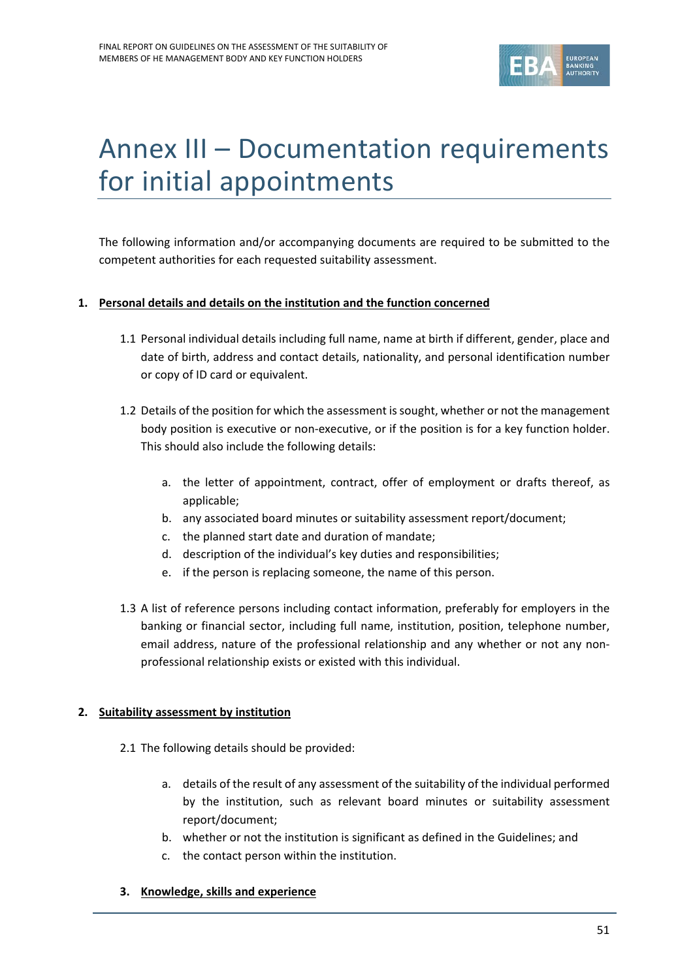

# Annex III – Documentation requirements for initial appointments

The following information and/or accompanying documents are required to be submitted to the competent authorities for each requested suitability assessment.

#### **1. Personal details and details on the institution and the function concerned**

- 1.1 Personal individual details including full name, name at birth if different, gender, place and date of birth, address and contact details, nationality, and personal identification number or copy of ID card or equivalent.
- 1.2 Details of the position for which the assessment is sought, whether or not the management body position is executive or non-executive, or if the position is for a key function holder. This should also include the following details:
	- a. the letter of appointment, contract, offer of employment or drafts thereof, as applicable;
	- b. any associated board minutes or suitability assessment report/document;
	- c. the planned start date and duration of mandate;
	- d. description of the individual's key duties and responsibilities;
	- e. if the person is replacing someone, the name of this person.
- 1.3 A list of reference persons including contact information, preferably for employers in the banking or financial sector, including full name, institution, position, telephone number, email address, nature of the professional relationship and any whether or not any nonprofessional relationship exists or existed with this individual.

#### **2. Suitability assessment by institution**

- 2.1 The following details should be provided:
	- a. details of the result of any assessment of the suitability of the individual performed by the institution, such as relevant board minutes or suitability assessment report/document;
	- b. whether or not the institution is significant as defined in the Guidelines; and
	- c. the contact person within the institution.

#### **3. Knowledge, skills and experience**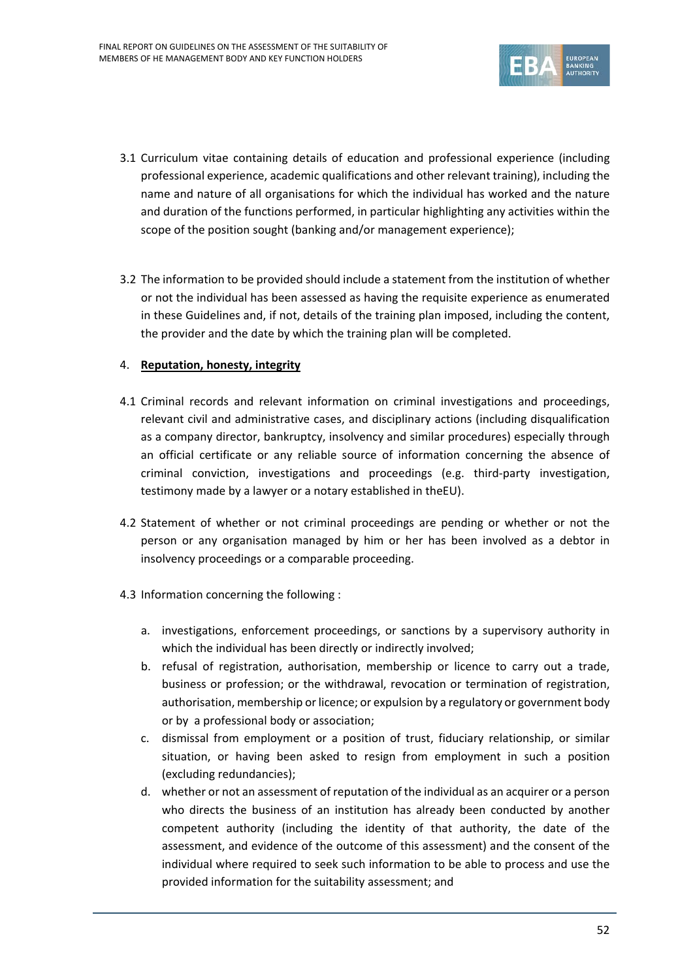

- 3.1 Curriculum vitae containing details of education and professional experience (including professional experience, academic qualifications and other relevant training), including the name and nature of all organisations for which the individual has worked and the nature and duration of the functions performed, in particular highlighting any activities within the scope of the position sought (banking and/or management experience);
- 3.2 The information to be provided should include a statement from the institution of whether or not the individual has been assessed as having the requisite experience as enumerated in these Guidelines and, if not, details of the training plan imposed, including the content, the provider and the date by which the training plan will be completed.

#### 4. **Reputation, honesty, integrity**

- 4.1 Criminal records and relevant information on criminal investigations and proceedings, relevant civil and administrative cases, and disciplinary actions (including disqualification as a company director, bankruptcy, insolvency and similar procedures) especially through an official certificate or any reliable source of information concerning the absence of criminal conviction, investigations and proceedings (e.g. third-party investigation, testimony made by a lawyer or a notary established in theEU).
- 4.2 Statement of whether or not criminal proceedings are pending or whether or not the person or any organisation managed by him or her has been involved as a debtor in insolvency proceedings or a comparable proceeding.
- 4.3 Information concerning the following :
	- a. investigations, enforcement proceedings, or sanctions by a supervisory authority in which the individual has been directly or indirectly involved;
	- b. refusal of registration, authorisation, membership or licence to carry out a trade, business or profession; or the withdrawal, revocation or termination of registration, authorisation, membership or licence; or expulsion by a regulatory or government body or by a professional body or association;
	- c. dismissal from employment or a position of trust, fiduciary relationship, or similar situation, or having been asked to resign from employment in such a position (excluding redundancies);
	- d. whether or not an assessment of reputation of the individual as an acquirer or a person who directs the business of an institution has already been conducted by another competent authority (including the identity of that authority, the date of the assessment, and evidence of the outcome of this assessment) and the consent of the individual where required to seek such information to be able to process and use the provided information for the suitability assessment; and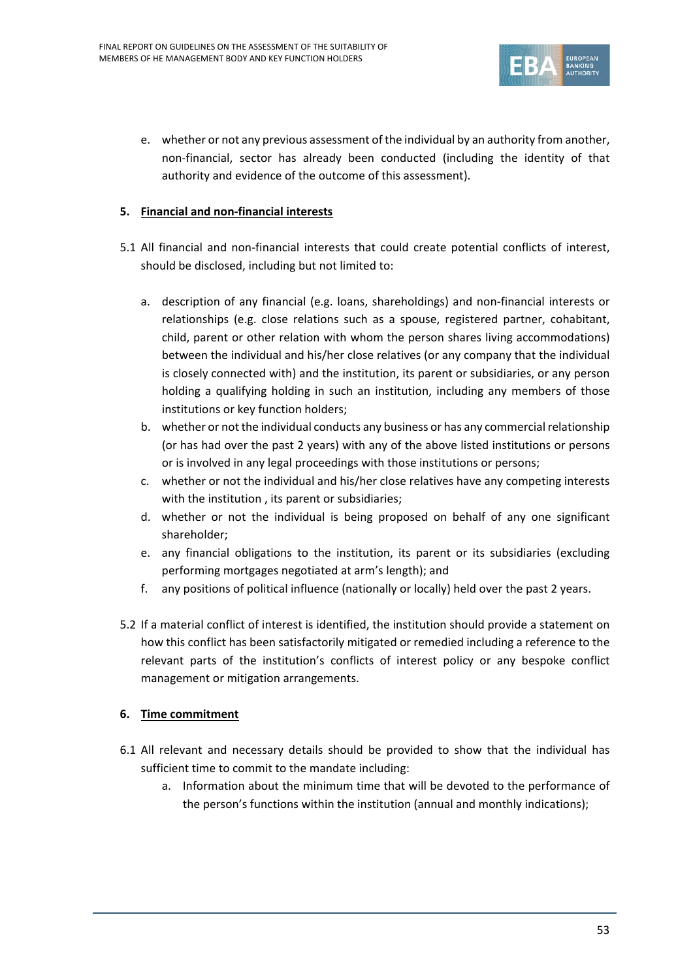

e. whether or not any previous assessment of the individual by an authority from another, non-financial, sector has already been conducted (including the identity of that authority and evidence of the outcome of this assessment).

#### **5. Financial and non-financial interests**

- 5.1 All financial and non-financial interests that could create potential conflicts of interest, should be disclosed, including but not limited to:
	- a. description of any financial (e.g. loans, shareholdings) and non-financial interests or relationships (e.g. close relations such as a spouse, registered partner, cohabitant, child, parent or other relation with whom the person shares living accommodations) between the individual and his/her close relatives (or any company that the individual is closely connected with) and the institution, its parent or subsidiaries, or any person holding a qualifying holding in such an institution, including any members of those institutions or key function holders;
	- b. whether or not the individual conducts any business or has any commercial relationship (or has had over the past 2 years) with any of the above listed institutions or persons or is involved in any legal proceedings with those institutions or persons;
	- c. whether or not the individual and his/her close relatives have any competing interests with the institution , its parent or subsidiaries;
	- d. whether or not the individual is being proposed on behalf of any one significant shareholder;
	- e. any financial obligations to the institution, its parent or its subsidiaries (excluding performing mortgages negotiated at arm's length); and
	- f. any positions of political influence (nationally or locally) held over the past 2 years.
- 5.2 If a material conflict of interest is identified, the institution should provide a statement on how this conflict has been satisfactorily mitigated or remedied including a reference to the relevant parts of the institution's conflicts of interest policy or any bespoke conflict management or mitigation arrangements.

#### **6. Time commitment**

- 6.1 All relevant and necessary details should be provided to show that the individual has sufficient time to commit to the mandate including:
	- a. Information about the minimum time that will be devoted to the performance of the person's functions within the institution (annual and monthly indications);